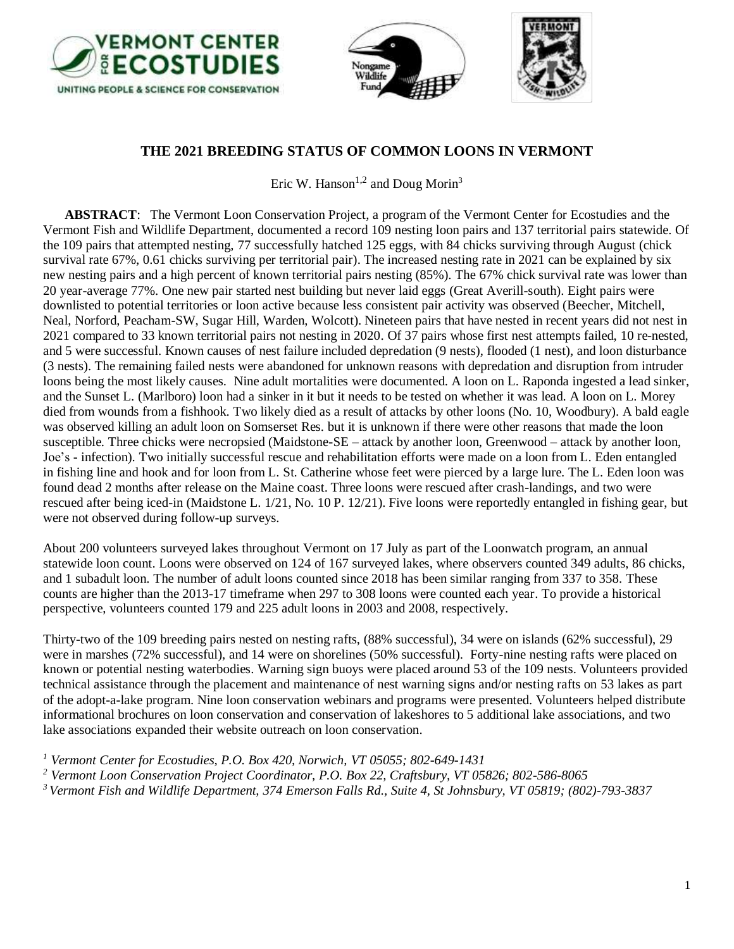





## **THE 2021 BREEDING STATUS OF COMMON LOONS IN VERMONT**

Eric W. Hanson<sup>1,2</sup> and Doug Morin<sup>3</sup>

**ABSTRACT**: The Vermont Loon Conservation Project, a program of the Vermont Center for Ecostudies and the Vermont Fish and Wildlife Department, documented a record 109 nesting loon pairs and 137 territorial pairs statewide. Of the 109 pairs that attempted nesting, 77 successfully hatched 125 eggs, with 84 chicks surviving through August (chick survival rate 67%, 0.61 chicks surviving per territorial pair). The increased nesting rate in 2021 can be explained by six new nesting pairs and a high percent of known territorial pairs nesting (85%). The 67% chick survival rate was lower than 20 year-average 77%. One new pair started nest building but never laid eggs (Great Averill-south). Eight pairs were downlisted to potential territories or loon active because less consistent pair activity was observed (Beecher, Mitchell, Neal, Norford, Peacham-SW, Sugar Hill, Warden, Wolcott). Nineteen pairs that have nested in recent years did not nest in 2021 compared to 33 known territorial pairs not nesting in 2020. Of 37 pairs whose first nest attempts failed, 10 re-nested, and 5 were successful. Known causes of nest failure included depredation (9 nests), flooded (1 nest), and loon disturbance (3 nests). The remaining failed nests were abandoned for unknown reasons with depredation and disruption from intruder loons being the most likely causes. Nine adult mortalities were documented. A loon on L. Raponda ingested a lead sinker, and the Sunset L. (Marlboro) loon had a sinker in it but it needs to be tested on whether it was lead. A loon on L. Morey died from wounds from a fishhook. Two likely died as a result of attacks by other loons (No. 10, Woodbury). A bald eagle was observed killing an adult loon on Somserset Res. but it is unknown if there were other reasons that made the loon susceptible. Three chicks were necropsied (Maidstone-SE – attack by another loon, Greenwood – attack by another loon, Joe's - infection). Two initially successful rescue and rehabilitation efforts were made on a loon from L. Eden entangled in fishing line and hook and for loon from L. St. Catherine whose feet were pierced by a large lure. The L. Eden loon was found dead 2 months after release on the Maine coast. Three loons were rescued after crash-landings, and two were rescued after being iced-in (Maidstone L. 1/21, No. 10 P. 12/21). Five loons were reportedly entangled in fishing gear, but were not observed during follow-up surveys.

About 200 volunteers surveyed lakes throughout Vermont on 17 July as part of the Loonwatch program, an annual statewide loon count. Loons were observed on 124 of 167 surveyed lakes, where observers counted 349 adults, 86 chicks, and 1 subadult loon. The number of adult loons counted since 2018 has been similar ranging from 337 to 358. These counts are higher than the 2013-17 timeframe when 297 to 308 loons were counted each year. To provide a historical perspective, volunteers counted 179 and 225 adult loons in 2003 and 2008, respectively.

Thirty-two of the 109 breeding pairs nested on nesting rafts, (88% successful), 34 were on islands (62% successful), 29 were in marshes (72% successful), and 14 were on shorelines (50% successful). Forty-nine nesting rafts were placed on known or potential nesting waterbodies. Warning sign buoys were placed around 53 of the 109 nests. Volunteers provided technical assistance through the placement and maintenance of nest warning signs and/or nesting rafts on 53 lakes as part of the adopt-a-lake program. Nine loon conservation webinars and programs were presented. Volunteers helped distribute informational brochures on loon conservation and conservation of lakeshores to 5 additional lake associations, and two lake associations expanded their website outreach on loon conservation.

*<sup>1</sup> Vermont Center for Ecostudies, P.O. Box 420, Norwich, VT 05055; 802-649-1431*

- *<sup>2</sup> Vermont Loon Conservation Project Coordinator, P.O. Box 22, Craftsbury, VT 05826; 802-586-8065*
- *3 Vermont Fish and Wildlife Department, 374 Emerson Falls Rd., Suite 4, St Johnsbury, VT 05819; (802)-793-3837*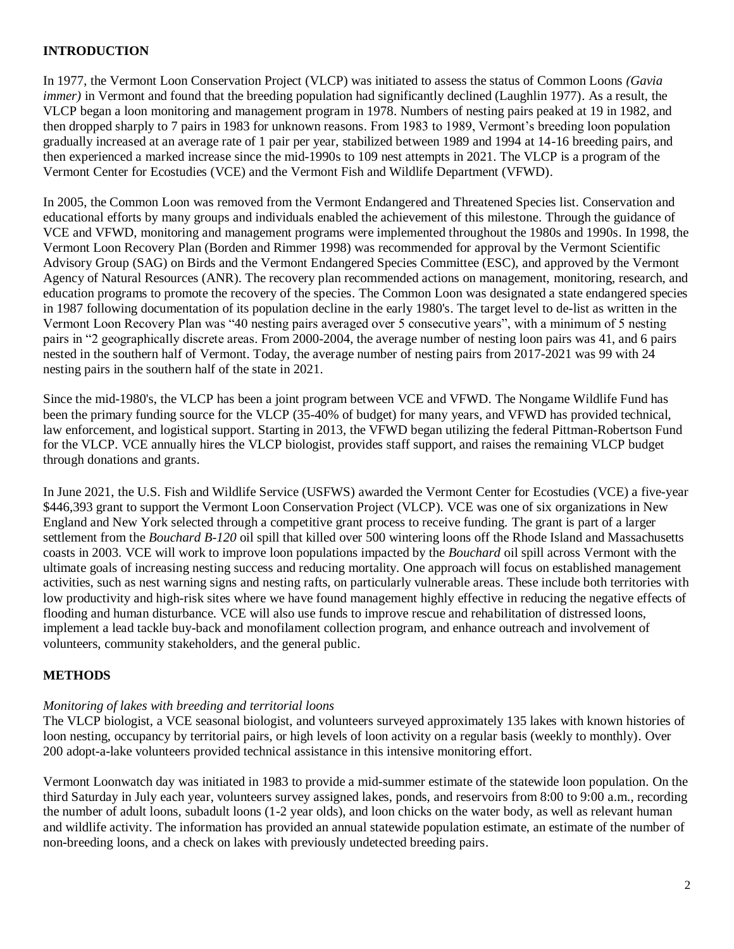## **INTRODUCTION**

In 1977, the Vermont Loon Conservation Project (VLCP) was initiated to assess the status of Common Loons *(Gavia immer*) in Vermont and found that the breeding population had significantly declined (Laughlin 1977). As a result, the VLCP began a loon monitoring and management program in 1978. Numbers of nesting pairs peaked at 19 in 1982, and then dropped sharply to 7 pairs in 1983 for unknown reasons. From 1983 to 1989, Vermont's breeding loon population gradually increased at an average rate of 1 pair per year, stabilized between 1989 and 1994 at 14-16 breeding pairs, and then experienced a marked increase since the mid-1990s to 109 nest attempts in 2021. The VLCP is a program of the Vermont Center for Ecostudies (VCE) and the Vermont Fish and Wildlife Department (VFWD).

In 2005, the Common Loon was removed from the Vermont Endangered and Threatened Species list. Conservation and educational efforts by many groups and individuals enabled the achievement of this milestone. Through the guidance of VCE and VFWD, monitoring and management programs were implemented throughout the 1980s and 1990s. In 1998, the Vermont Loon Recovery Plan (Borden and Rimmer 1998) was recommended for approval by the Vermont Scientific Advisory Group (SAG) on Birds and the Vermont Endangered Species Committee (ESC), and approved by the Vermont Agency of Natural Resources (ANR). The recovery plan recommended actions on management, monitoring, research, and education programs to promote the recovery of the species. The Common Loon was designated a state endangered species in 1987 following documentation of its population decline in the early 1980's. The target level to de-list as written in the Vermont Loon Recovery Plan was "40 nesting pairs averaged over 5 consecutive years", with a minimum of 5 nesting pairs in "2 geographically discrete areas. From 2000-2004, the average number of nesting loon pairs was 41, and 6 pairs nested in the southern half of Vermont. Today, the average number of nesting pairs from 2017-2021 was 99 with 24 nesting pairs in the southern half of the state in 2021.

Since the mid-1980's, the VLCP has been a joint program between VCE and VFWD. The Nongame Wildlife Fund has been the primary funding source for the VLCP (35-40% of budget) for many years, and VFWD has provided technical, law enforcement, and logistical support. Starting in 2013, the VFWD began utilizing the federal Pittman-Robertson Fund for the VLCP. VCE annually hires the VLCP biologist, provides staff support, and raises the remaining VLCP budget through donations and grants.

In June 2021, the U.S. Fish and Wildlife Service (USFWS) awarded the Vermont Center for Ecostudies (VCE) a five-year \$446,393 grant to support the Vermont Loon Conservation Project (VLCP). VCE was one of six organizations in New England and New York selected through a competitive grant process to receive funding. The grant is part of a larger settlement from the *Bouchard B-120* oil spill that killed over 500 wintering loons off the Rhode Island and Massachusetts coasts in 2003. VCE will work to improve loon populations impacted by the *Bouchard* oil spill across Vermont with the ultimate goals of increasing nesting success and reducing mortality. One approach will focus on established management activities, such as nest warning signs and nesting rafts, on particularly vulnerable areas. These include both territories with low productivity and high-risk sites where we have found management highly effective in reducing the negative effects of flooding and human disturbance. VCE will also use funds to improve rescue and rehabilitation of distressed loons, implement a lead tackle buy-back and monofilament collection program, and enhance outreach and involvement of volunteers, community stakeholders, and the general public.

## **METHODS**

## *Monitoring of lakes with breeding and territorial loons*

The VLCP biologist, a VCE seasonal biologist, and volunteers surveyed approximately 135 lakes with known histories of loon nesting, occupancy by territorial pairs, or high levels of loon activity on a regular basis (weekly to monthly). Over 200 adopt-a-lake volunteers provided technical assistance in this intensive monitoring effort.

Vermont Loonwatch day was initiated in 1983 to provide a mid-summer estimate of the statewide loon population. On the third Saturday in July each year, volunteers survey assigned lakes, ponds, and reservoirs from 8:00 to 9:00 a.m., recording the number of adult loons, subadult loons (1-2 year olds), and loon chicks on the water body, as well as relevant human and wildlife activity. The information has provided an annual statewide population estimate, an estimate of the number of non-breeding loons, and a check on lakes with previously undetected breeding pairs.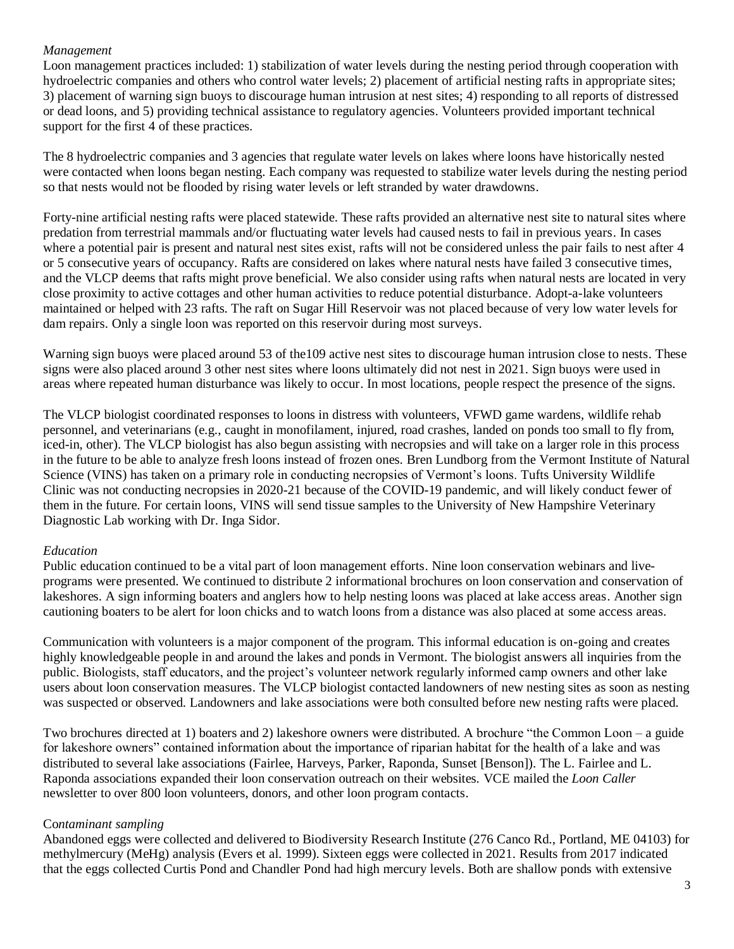## *Management*

Loon management practices included: 1) stabilization of water levels during the nesting period through cooperation with hydroelectric companies and others who control water levels; 2) placement of artificial nesting rafts in appropriate sites; 3) placement of warning sign buoys to discourage human intrusion at nest sites; 4) responding to all reports of distressed or dead loons, and 5) providing technical assistance to regulatory agencies. Volunteers provided important technical support for the first 4 of these practices.

The 8 hydroelectric companies and 3 agencies that regulate water levels on lakes where loons have historically nested were contacted when loons began nesting. Each company was requested to stabilize water levels during the nesting period so that nests would not be flooded by rising water levels or left stranded by water drawdowns.

Forty-nine artificial nesting rafts were placed statewide. These rafts provided an alternative nest site to natural sites where predation from terrestrial mammals and/or fluctuating water levels had caused nests to fail in previous years. In cases where a potential pair is present and natural nest sites exist, rafts will not be considered unless the pair fails to nest after 4 or 5 consecutive years of occupancy. Rafts are considered on lakes where natural nests have failed 3 consecutive times, and the VLCP deems that rafts might prove beneficial. We also consider using rafts when natural nests are located in very close proximity to active cottages and other human activities to reduce potential disturbance. Adopt-a-lake volunteers maintained or helped with 23 rafts. The raft on Sugar Hill Reservoir was not placed because of very low water levels for dam repairs. Only a single loon was reported on this reservoir during most surveys.

Warning sign buoys were placed around 53 of the109 active nest sites to discourage human intrusion close to nests. These signs were also placed around 3 other nest sites where loons ultimately did not nest in 2021. Sign buoys were used in areas where repeated human disturbance was likely to occur. In most locations, people respect the presence of the signs.

The VLCP biologist coordinated responses to loons in distress with volunteers, VFWD game wardens, wildlife rehab personnel, and veterinarians (e.g., caught in monofilament, injured, road crashes, landed on ponds too small to fly from, iced-in, other). The VLCP biologist has also begun assisting with necropsies and will take on a larger role in this process in the future to be able to analyze fresh loons instead of frozen ones. Bren Lundborg from the Vermont Institute of Natural Science (VINS) has taken on a primary role in conducting necropsies of Vermont's loons. Tufts University Wildlife Clinic was not conducting necropsies in 2020-21 because of the COVID-19 pandemic, and will likely conduct fewer of them in the future. For certain loons, VINS will send tissue samples to the University of New Hampshire Veterinary Diagnostic Lab working with Dr. Inga Sidor.

## *Education*

Public education continued to be a vital part of loon management efforts. Nine loon conservation webinars and liveprograms were presented. We continued to distribute 2 informational brochures on loon conservation and conservation of lakeshores. A sign informing boaters and anglers how to help nesting loons was placed at lake access areas. Another sign cautioning boaters to be alert for loon chicks and to watch loons from a distance was also placed at some access areas.

Communication with volunteers is a major component of the program. This informal education is on-going and creates highly knowledgeable people in and around the lakes and ponds in Vermont. The biologist answers all inquiries from the public. Biologists, staff educators, and the project's volunteer network regularly informed camp owners and other lake users about loon conservation measures. The VLCP biologist contacted landowners of new nesting sites as soon as nesting was suspected or observed. Landowners and lake associations were both consulted before new nesting rafts were placed.

Two brochures directed at 1) boaters and 2) lakeshore owners were distributed. A brochure "the Common Loon – a guide for lakeshore owners" contained information about the importance of riparian habitat for the health of a lake and was distributed to several lake associations (Fairlee, Harveys, Parker, Raponda, Sunset [Benson]). The L. Fairlee and L. Raponda associations expanded their loon conservation outreach on their websites. VCE mailed the *Loon Caller* newsletter to over 800 loon volunteers, donors, and other loon program contacts.

## Co*ntaminant sampling*

Abandoned eggs were collected and delivered to Biodiversity Research Institute (276 Canco Rd., Portland, ME 04103) for methylmercury (MeHg) analysis (Evers et al. 1999). Sixteen eggs were collected in 2021. Results from 2017 indicated that the eggs collected Curtis Pond and Chandler Pond had high mercury levels. Both are shallow ponds with extensive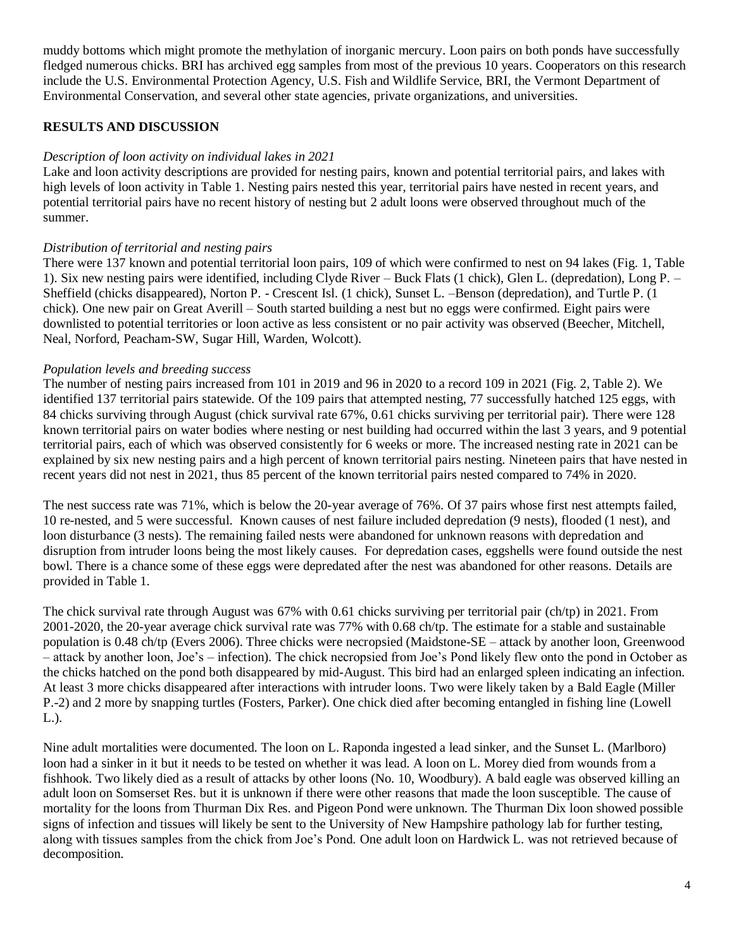muddy bottoms which might promote the methylation of inorganic mercury. Loon pairs on both ponds have successfully fledged numerous chicks. BRI has archived egg samples from most of the previous 10 years. Cooperators on this research include the U.S. Environmental Protection Agency, U.S. Fish and Wildlife Service, BRI, the Vermont Department of Environmental Conservation, and several other state agencies, private organizations, and universities.

## **RESULTS AND DISCUSSION**

## *Description of loon activity on individual lakes in 2021*

Lake and loon activity descriptions are provided for nesting pairs, known and potential territorial pairs, and lakes with high levels of loon activity in Table 1. Nesting pairs nested this year, territorial pairs have nested in recent years, and potential territorial pairs have no recent history of nesting but 2 adult loons were observed throughout much of the summer.

## *Distribution of territorial and nesting pairs*

There were 137 known and potential territorial loon pairs, 109 of which were confirmed to nest on 94 lakes (Fig. 1, Table 1). Six new nesting pairs were identified, including Clyde River – Buck Flats (1 chick), Glen L. (depredation), Long P. – Sheffield (chicks disappeared), Norton P. - Crescent Isl. (1 chick), Sunset L. –Benson (depredation), and Turtle P. (1 chick). One new pair on Great Averill – South started building a nest but no eggs were confirmed. Eight pairs were downlisted to potential territories or loon active as less consistent or no pair activity was observed (Beecher, Mitchell, Neal, Norford, Peacham-SW, Sugar Hill, Warden, Wolcott).

## *Population levels and breeding success*

The number of nesting pairs increased from 101 in 2019 and 96 in 2020 to a record 109 in 2021 (Fig. 2, Table 2). We identified 137 territorial pairs statewide. Of the 109 pairs that attempted nesting, 77 successfully hatched 125 eggs, with 84 chicks surviving through August (chick survival rate 67%, 0.61 chicks surviving per territorial pair). There were 128 known territorial pairs on water bodies where nesting or nest building had occurred within the last 3 years, and 9 potential territorial pairs, each of which was observed consistently for 6 weeks or more. The increased nesting rate in 2021 can be explained by six new nesting pairs and a high percent of known territorial pairs nesting. Nineteen pairs that have nested in recent years did not nest in 2021, thus 85 percent of the known territorial pairs nested compared to 74% in 2020.

The nest success rate was 71%, which is below the 20-year average of 76%. Of 37 pairs whose first nest attempts failed, 10 re-nested, and 5 were successful. Known causes of nest failure included depredation (9 nests), flooded (1 nest), and loon disturbance (3 nests). The remaining failed nests were abandoned for unknown reasons with depredation and disruption from intruder loons being the most likely causes. For depredation cases, eggshells were found outside the nest bowl. There is a chance some of these eggs were depredated after the nest was abandoned for other reasons. Details are provided in Table 1.

The chick survival rate through August was 67% with 0.61 chicks surviving per territorial pair (ch/tp) in 2021. From 2001-2020, the 20-year average chick survival rate was 77% with 0.68 ch/tp. The estimate for a stable and sustainable population is 0.48 ch/tp (Evers 2006). Three chicks were necropsied (Maidstone-SE – attack by another loon, Greenwood – attack by another loon, Joe's – infection). The chick necropsied from Joe's Pond likely flew onto the pond in October as the chicks hatched on the pond both disappeared by mid-August. This bird had an enlarged spleen indicating an infection. At least 3 more chicks disappeared after interactions with intruder loons. Two were likely taken by a Bald Eagle (Miller P.-2) and 2 more by snapping turtles (Fosters, Parker). One chick died after becoming entangled in fishing line (Lowell L.).

Nine adult mortalities were documented. The loon on L. Raponda ingested a lead sinker, and the Sunset L. (Marlboro) loon had a sinker in it but it needs to be tested on whether it was lead. A loon on L. Morey died from wounds from a fishhook. Two likely died as a result of attacks by other loons (No. 10, Woodbury). A bald eagle was observed killing an adult loon on Somserset Res. but it is unknown if there were other reasons that made the loon susceptible. The cause of mortality for the loons from Thurman Dix Res. and Pigeon Pond were unknown. The Thurman Dix loon showed possible signs of infection and tissues will likely be sent to the University of New Hampshire pathology lab for further testing, along with tissues samples from the chick from Joe's Pond. One adult loon on Hardwick L. was not retrieved because of decomposition.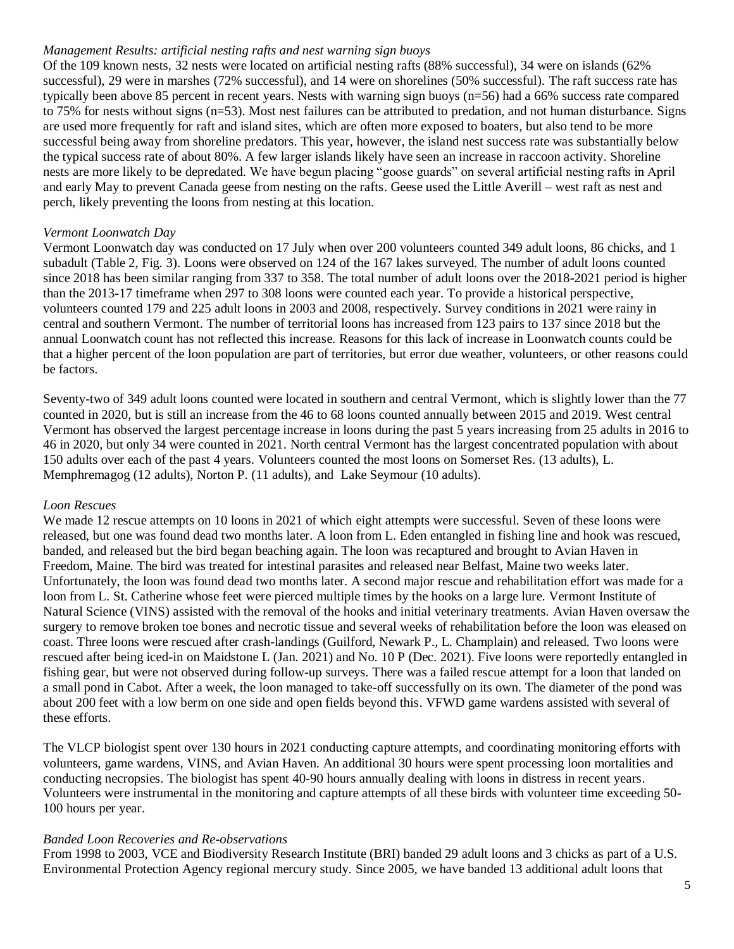#### *Management Results: artificial nesting rafts and nest warning sign buoys*

Of the 109 known nests, 32 nests were located on artificial nesting rafts (88% successful), 34 were on islands (62% successful), 29 were in marshes (72% successful), and 14 were on shorelines (50% successful). The raft success rate has typically been above 85 percent in recent years. Nests with warning sign buoys (n=56) had a 66% success rate compared to 75% for nests without signs (n=53). Most nest failures can be attributed to predation, and not human disturbance. Signs are used more frequently for raft and island sites, which are often more exposed to boaters, but also tend to be more successful being away from shoreline predators. This year, however, the island nest success rate was substantially below the typical success rate of about 80%. A few larger islands likely have seen an increase in raccoon activity. Shoreline nests are more likely to be depredated. We have begun placing "goose guards" on several artificial nesting rafts in April and early May to prevent Canada geese from nesting on the rafts. Geese used the Little Averill – west raft as nest and perch, likely preventing the loons from nesting at this location.

#### *Vermont Loonwatch Day*

Vermont Loonwatch day was conducted on 17 July when over 200 volunteers counted 349 adult loons, 86 chicks, and 1 subadult (Table 2, Fig. 3). Loons were observed on 124 of the 167 lakes surveyed. The number of adult loons counted since 2018 has been similar ranging from 337 to 358. The total number of adult loons over the 2018-2021 period is higher than the 2013-17 timeframe when 297 to 308 loons were counted each year. To provide a historical perspective, volunteers counted 179 and 225 adult loons in 2003 and 2008, respectively. Survey conditions in 2021 were rainy in central and southern Vermont. The number of territorial loons has increased from 123 pairs to 137 since 2018 but the annual Loonwatch count has not reflected this increase. Reasons for this lack of increase in Loonwatch counts could be that a higher percent of the loon population are part of territories, but error due weather, volunteers, or other reasons could be factors.

Seventy-two of 349 adult loons counted were located in southern and central Vermont, which is slightly lower than the 77 counted in 2020, but is still an increase from the 46 to 68 loons counted annually between 2015 and 2019. West central Vermont has observed the largest percentage increase in loons during the past 5 years increasing from 25 adults in 2016 to 46 in 2020, but only 34 were counted in 2021. North central Vermont has the largest concentrated population with about 150 adults over each of the past 4 years. Volunteers counted the most loons on Somerset Res. (13 adults), L. Memphremagog (12 adults), Norton P. (11 adults), and Lake Seymour (10 adults).

#### *Loon Rescues*

We made 12 rescue attempts on 10 loons in 2021 of which eight attempts were successful. Seven of these loons were released, but one was found dead two months later. A loon from L. Eden entangled in fishing line and hook was rescued, banded, and released but the bird began beaching again. The loon was recaptured and brought to Avian Haven in Freedom, Maine. The bird was treated for intestinal parasites and released near Belfast, Maine two weeks later. Unfortunately, the loon was found dead two months later. A second major rescue and rehabilitation effort was made for a loon from L. St. Catherine whose feet were pierced multiple times by the hooks on a large lure. Vermont Institute of Natural Science (VINS) assisted with the removal of the hooks and initial veterinary treatments. Avian Haven oversaw the surgery to remove broken toe bones and necrotic tissue and several weeks of rehabilitation before the loon was eleased on coast. Three loons were rescued after crash-landings (Guilford, Newark P., L. Champlain) and released. Two loons were rescued after being iced-in on Maidstone L (Jan. 2021) and No. 10 P (Dec. 2021). Five loons were reportedly entangled in fishing gear, but were not observed during follow-up surveys. There was a failed rescue attempt for a loon that landed on a small pond in Cabot. After a week, the loon managed to take-off successfully on its own. The diameter of the pond was about 200 feet with a low berm on one side and open fields beyond this. VFWD game wardens assisted with several of these efforts.

The VLCP biologist spent over 130 hours in 2021 conducting capture attempts, and coordinating monitoring efforts with volunteers, game wardens, VINS, and Avian Haven. An additional 30 hours were spent processing loon mortalities and conducting necropsies. The biologist has spent 40-90 hours annually dealing with loons in distress in recent years. Volunteers were instrumental in the monitoring and capture attempts of all these birds with volunteer time exceeding 50- 100 hours per year.

## *Banded Loon Recoveries and Re-observations*

From 1998 to 2003, VCE and Biodiversity Research Institute (BRI) banded 29 adult loons and 3 chicks as part of a U.S. Environmental Protection Agency regional mercury study. Since 2005, we have banded 13 additional adult loons that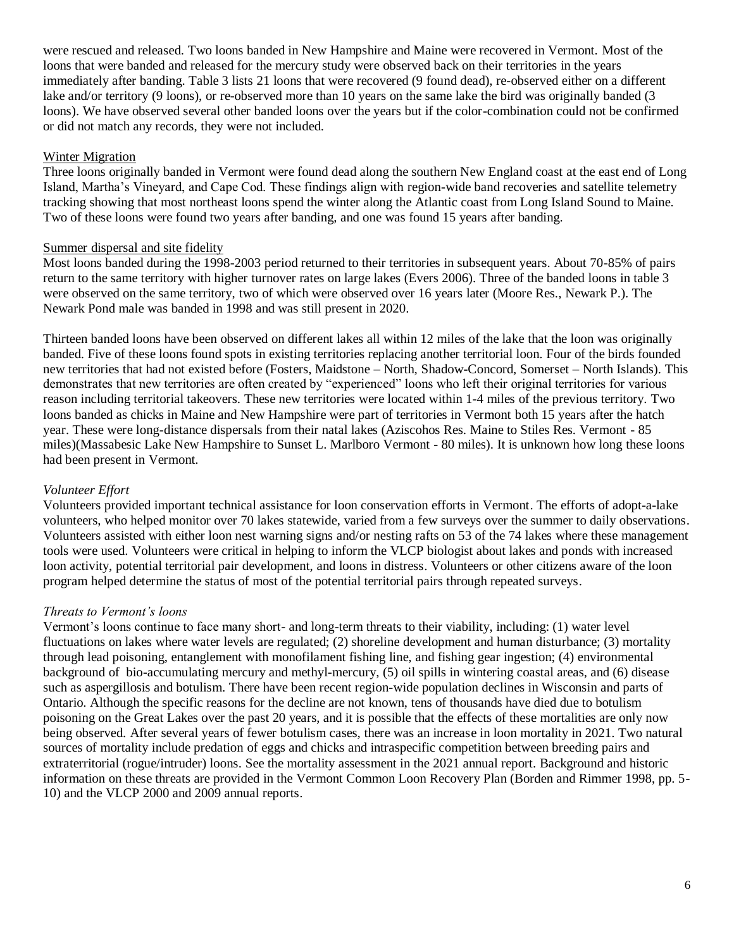were rescued and released. Two loons banded in New Hampshire and Maine were recovered in Vermont. Most of the loons that were banded and released for the mercury study were observed back on their territories in the years immediately after banding. Table 3 lists 21 loons that were recovered (9 found dead), re-observed either on a different lake and/or territory (9 loons), or re-observed more than 10 years on the same lake the bird was originally banded (3 loons). We have observed several other banded loons over the years but if the color-combination could not be confirmed or did not match any records, they were not included.

## Winter Migration

Three loons originally banded in Vermont were found dead along the southern New England coast at the east end of Long Island, Martha's Vineyard, and Cape Cod. These findings align with region-wide band recoveries and satellite telemetry tracking showing that most northeast loons spend the winter along the Atlantic coast from Long Island Sound to Maine. Two of these loons were found two years after banding, and one was found 15 years after banding.

## Summer dispersal and site fidelity

Most loons banded during the 1998-2003 period returned to their territories in subsequent years. About 70-85% of pairs return to the same territory with higher turnover rates on large lakes (Evers 2006). Three of the banded loons in table 3 were observed on the same territory, two of which were observed over 16 years later (Moore Res., Newark P.). The Newark Pond male was banded in 1998 and was still present in 2020.

Thirteen banded loons have been observed on different lakes all within 12 miles of the lake that the loon was originally banded. Five of these loons found spots in existing territories replacing another territorial loon. Four of the birds founded new territories that had not existed before (Fosters, Maidstone – North, Shadow-Concord, Somerset – North Islands). This demonstrates that new territories are often created by "experienced" loons who left their original territories for various reason including territorial takeovers. These new territories were located within 1-4 miles of the previous territory. Two loons banded as chicks in Maine and New Hampshire were part of territories in Vermont both 15 years after the hatch year. These were long-distance dispersals from their natal lakes (Aziscohos Res. Maine to Stiles Res. Vermont - 85 miles)(Massabesic Lake New Hampshire to Sunset L. Marlboro Vermont - 80 miles). It is unknown how long these loons had been present in Vermont.

## *Volunteer Effort*

Volunteers provided important technical assistance for loon conservation efforts in Vermont. The efforts of adopt-a-lake volunteers, who helped monitor over 70 lakes statewide, varied from a few surveys over the summer to daily observations. Volunteers assisted with either loon nest warning signs and/or nesting rafts on 53 of the 74 lakes where these management tools were used. Volunteers were critical in helping to inform the VLCP biologist about lakes and ponds with increased loon activity, potential territorial pair development, and loons in distress. Volunteers or other citizens aware of the loon program helped determine the status of most of the potential territorial pairs through repeated surveys.

## *Threats to Vermont's loons*

Vermont's loons continue to face many short- and long-term threats to their viability, including: (1) water level fluctuations on lakes where water levels are regulated; (2) shoreline development and human disturbance; (3) mortality through lead poisoning, entanglement with monofilament fishing line, and fishing gear ingestion; (4) environmental background of bio-accumulating mercury and methyl-mercury, (5) oil spills in wintering coastal areas, and (6) disease such as aspergillosis and botulism. There have been recent region-wide population declines in Wisconsin and parts of Ontario. Although the specific reasons for the decline are not known, tens of thousands have died due to botulism poisoning on the Great Lakes over the past 20 years, and it is possible that the effects of these mortalities are only now being observed. After several years of fewer botulism cases, there was an increase in loon mortality in 2021. Two natural sources of mortality include predation of eggs and chicks and intraspecific competition between breeding pairs and extraterritorial (rogue/intruder) loons. See the mortality assessment in the 2021 annual report. Background and historic information on these threats are provided in the Vermont Common Loon Recovery Plan (Borden and Rimmer 1998, pp. 5- 10) and the VLCP 2000 and 2009 annual reports.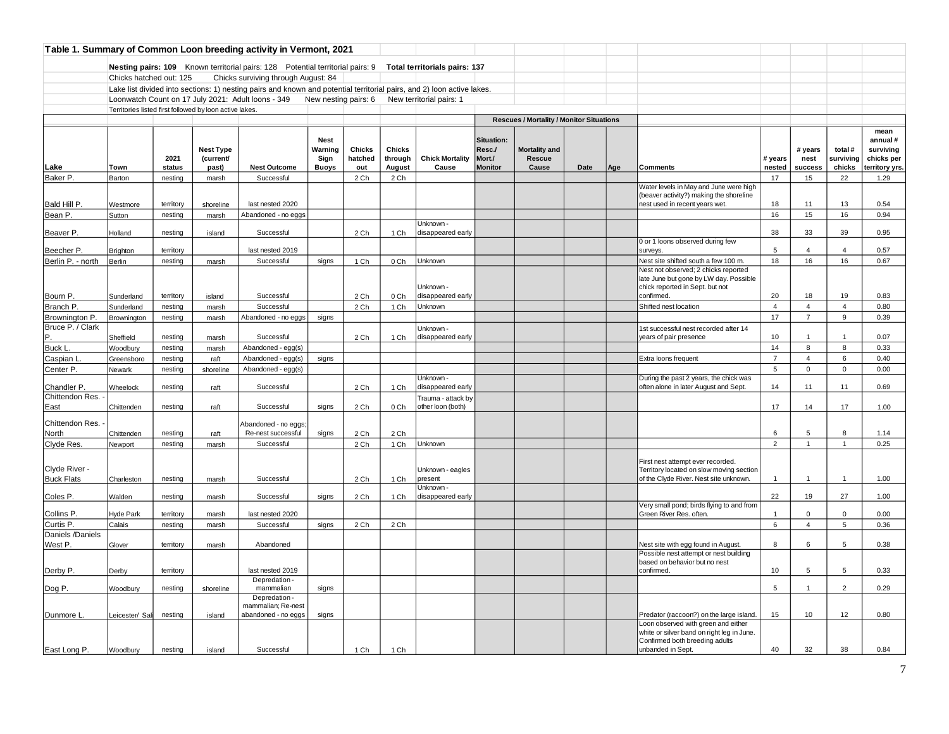|                                    |                                                         |                |                                        | Table 1. Summary of Common Loon breeding activity in Vermont, 2021                                                     |                                                |                          |                                    |                                         |                                                  |                                                 |      |     |                                                                                                                         |                   |                            |                                |                                                      |
|------------------------------------|---------------------------------------------------------|----------------|----------------------------------------|------------------------------------------------------------------------------------------------------------------------|------------------------------------------------|--------------------------|------------------------------------|-----------------------------------------|--------------------------------------------------|-------------------------------------------------|------|-----|-------------------------------------------------------------------------------------------------------------------------|-------------------|----------------------------|--------------------------------|------------------------------------------------------|
|                                    |                                                         |                |                                        | Nesting pairs: 109 Known territorial pairs: 128 Potential territorial pairs: 9 Total territorials pairs: 137           |                                                |                          |                                    |                                         |                                                  |                                                 |      |     |                                                                                                                         |                   |                            |                                |                                                      |
|                                    | Chicks hatched out: 125                                 |                |                                        | Chicks surviving through August: 84                                                                                    |                                                |                          |                                    |                                         |                                                  |                                                 |      |     |                                                                                                                         |                   |                            |                                |                                                      |
|                                    |                                                         |                |                                        | Lake list divided into sections: 1) nesting pairs and known and potential territorial pairs, and 2) loon active lakes. |                                                |                          |                                    |                                         |                                                  |                                                 |      |     |                                                                                                                         |                   |                            |                                |                                                      |
|                                    |                                                         |                |                                        | Loonwatch Count on 17 July 2021: Adult loons - 349 New nesting pairs: 6 New territorial pairs: 1                       |                                                |                          |                                    |                                         |                                                  |                                                 |      |     |                                                                                                                         |                   |                            |                                |                                                      |
|                                    | Territories listed first followed by loon active lakes. |                |                                        |                                                                                                                        |                                                |                          |                                    |                                         |                                                  |                                                 |      |     |                                                                                                                         |                   |                            |                                |                                                      |
|                                    |                                                         |                |                                        |                                                                                                                        |                                                |                          |                                    |                                         |                                                  | <b>Rescues / Mortality / Monitor Situations</b> |      |     |                                                                                                                         |                   |                            |                                |                                                      |
|                                    |                                                         |                |                                        |                                                                                                                        |                                                |                          |                                    |                                         |                                                  |                                                 |      |     |                                                                                                                         |                   |                            |                                | mean                                                 |
| Lake                               | Town                                                    | 2021<br>status | <b>Nest Type</b><br>(current/<br>past) | <b>Nest Outcome</b>                                                                                                    | <b>Nest</b><br>Warning<br>Sign<br><b>Buoys</b> | Chicks<br>hatched<br>out | <b>Chicks</b><br>through<br>August | <b>Chick Mortality</b><br>Cause         | Situation:<br>Resc./<br>Mort./<br><b>Monitor</b> | Mortality and<br>Rescue<br>Cause                | Date | Age | <b>Comments</b>                                                                                                         | # years<br>nested | # years<br>nest<br>success | total #<br>surviving<br>chicks | annual#<br>surviving<br>chicks per<br>territory yrs. |
| Baker P.                           | Barton                                                  | nesting        | marsh                                  | Successful                                                                                                             |                                                | 2 Ch                     | 2 Ch                               |                                         |                                                  |                                                 |      |     |                                                                                                                         | 17                | 15                         | 22                             | 1.29                                                 |
| Bald Hill P.                       | Westmore                                                | territory      | shoreline                              | last nested 2020                                                                                                       |                                                |                          |                                    |                                         |                                                  |                                                 |      |     | Water levels in May and June were high<br>(beaver activity?) making the shoreline<br>nest used in recent years wet.     | 18                | 11                         | 13                             | 0.54                                                 |
| Bean P.                            | Sutton                                                  | nesting        | marsh                                  | Abandoned - no eggs                                                                                                    |                                                |                          |                                    |                                         |                                                  |                                                 |      |     |                                                                                                                         | 16                | 15                         | 16                             | 0.94                                                 |
|                                    |                                                         |                |                                        |                                                                                                                        |                                                |                          |                                    | Unknown -                               |                                                  |                                                 |      |     |                                                                                                                         |                   |                            |                                |                                                      |
| Beaver P.                          | Holland                                                 | nesting        | island                                 | Successful                                                                                                             |                                                | 2 Ch                     | 1 Ch                               | disappeared early                       |                                                  |                                                 |      |     |                                                                                                                         | 38                | 33                         | 39                             | 0.95                                                 |
|                                    |                                                         |                |                                        |                                                                                                                        |                                                |                          |                                    |                                         |                                                  |                                                 |      |     | 0 or 1 loons observed during few                                                                                        |                   |                            |                                |                                                      |
| Beecher P.                         | <b>Brighton</b>                                         | territory      |                                        | last nested 2019                                                                                                       |                                                |                          |                                    |                                         |                                                  |                                                 |      |     | surveys.                                                                                                                | 5                 | $\overline{4}$             | $\overline{4}$                 | 0.57                                                 |
| Berlin P. - north                  | Berlin                                                  | nesting        | marsh                                  | Successful                                                                                                             | signs                                          | 1 Ch                     | 0 Ch                               | Unknown                                 |                                                  |                                                 |      |     | Nest site shifted south a few 100 m.<br>Nest not observed; 2 chicks reported                                            | 18                | 16                         | 16                             | 0.67                                                 |
| Bourn P.                           | Sunderland                                              | territory      | island                                 | Successful                                                                                                             |                                                | 2 Ch                     | 0 Ch                               | Unknown -<br>disappeared early          |                                                  |                                                 |      |     | late June but gone by LW day. Possible<br>chick reported in Sept. but not<br>confirmed.                                 | 20                | 18                         | 19                             | 0.83                                                 |
| Branch P.                          | Sunderland                                              | nesting        | marsh                                  | Successful                                                                                                             |                                                | 2 Ch                     | 1 Ch                               | Unknown                                 |                                                  |                                                 |      |     | Shifted nest location                                                                                                   | $\overline{4}$    | $\overline{4}$             | $\overline{4}$                 | 0.80                                                 |
| Brownington P.                     | Brownington                                             | nesting        | marsh                                  | Abandoned - no eggs                                                                                                    | signs                                          |                          |                                    |                                         |                                                  |                                                 |      |     |                                                                                                                         | 17                | $\overline{7}$             | 9                              | 0.39                                                 |
| Bruce P. / Clark                   |                                                         |                |                                        |                                                                                                                        |                                                |                          |                                    | Unknown -                               |                                                  |                                                 |      |     | 1st successful nest recorded after 14                                                                                   |                   |                            |                                |                                                      |
| P.                                 | Sheffield                                               | nesting        | marsh                                  | Successful                                                                                                             |                                                | 2 Ch                     | 1 Ch                               | disappeared early                       |                                                  |                                                 |      |     | years of pair presence                                                                                                  | 10                | $\overline{1}$             | $\mathbf{1}$                   | 0.07                                                 |
| <b>Buck L</b>                      | Woodbury                                                | nesting        | marsh                                  | Abandoned - egg(s)                                                                                                     |                                                |                          |                                    |                                         |                                                  |                                                 |      |     |                                                                                                                         | 14                | 8                          | 8                              | 0.33                                                 |
| Caspian I                          | Greensboro                                              | nesting        | raft                                   | Abandoned - egg(s)                                                                                                     | signs                                          |                          |                                    |                                         |                                                  |                                                 |      |     | Extra loons frequent                                                                                                    | $\overline{7}$    | $\overline{4}$             | 6                              | 0.40                                                 |
| Center P.                          | Newark                                                  | nesting        | shoreline                              | Abandoned - egg(s)                                                                                                     |                                                |                          |                                    | Unknown -                               |                                                  |                                                 |      |     | During the past 2 years, the chick was                                                                                  | 5                 | $\mathbf 0$                | $\Omega$                       | 0.00                                                 |
| Chandler P.<br>Chittendon Res.     | Wheelock                                                | nesting        | raft                                   | Successful                                                                                                             |                                                | 2 Ch                     | 1 Ch                               | disappeared early                       |                                                  |                                                 |      |     | often alone in later August and Sept.                                                                                   | 14                | 11                         | 11                             | 0.69                                                 |
| East                               | Chittenden                                              | nesting        | raft                                   | Successful                                                                                                             | signs                                          | 2 Ch                     | 0 Ch                               | Trauma - attack by<br>other loon (both) |                                                  |                                                 |      |     |                                                                                                                         | 17                | 14                         | 17                             | 1.00                                                 |
| Chittendon Res.                    |                                                         |                |                                        | Abandoned - no eggs;                                                                                                   |                                                |                          |                                    |                                         |                                                  |                                                 |      |     |                                                                                                                         |                   |                            |                                |                                                      |
| North                              | Chittenden                                              | nesting        | raft                                   | Re-nest successful                                                                                                     | signs                                          | 2 Ch                     | 2 Ch                               |                                         |                                                  |                                                 |      |     |                                                                                                                         | 6                 | 5                          | 8                              | 1.14                                                 |
| Clyde Res.                         | Newport                                                 | nesting        | marsh                                  | Successful                                                                                                             |                                                | 2 Ch                     | 1 Ch                               | Unknown                                 |                                                  |                                                 |      |     |                                                                                                                         | $\overline{2}$    | $\mathbf{1}$               | $\mathbf{1}$                   | 0.25                                                 |
| Clyde River -<br><b>Buck Flats</b> | Charleston                                              | nesting        | marsh                                  | Successful                                                                                                             |                                                | 2 Ch                     | 1 Ch                               | Unknown - eagles<br>present             |                                                  |                                                 |      |     | First nest attempt ever recorded.<br>Territory located on slow moving section<br>of the Clyde River. Nest site unknown. | $\overline{1}$    | $\mathbf{1}$               | $\overline{1}$                 | 1.00                                                 |
| Coles P.                           | Walden                                                  | nesting        | marsh                                  | Successful                                                                                                             | signs                                          | 2 Ch                     | 1 Ch                               | Unknown -<br>disappeared early          |                                                  |                                                 |      |     |                                                                                                                         | 22                | 19                         | 27                             | 1.00                                                 |
| Collins P.                         | Hyde Park                                               | territory      | marsh                                  | last nested 2020                                                                                                       |                                                |                          |                                    |                                         |                                                  |                                                 |      |     | Very small pond; birds flying to and from<br>Green River Res. often.                                                    | $\overline{1}$    | $\mathbf 0$                | 0                              | 0.00                                                 |
| Curtis P.                          | Calais                                                  | nesting        | marsh                                  | Successful                                                                                                             | signs                                          | 2 Ch                     | 2 Ch                               |                                         |                                                  |                                                 |      |     |                                                                                                                         | 6                 | $\overline{4}$             | 5                              | 0.36                                                 |
| Daniels /Daniels                   |                                                         |                |                                        |                                                                                                                        |                                                |                          |                                    |                                         |                                                  |                                                 |      |     |                                                                                                                         |                   |                            |                                |                                                      |
| West P.                            | Glover                                                  | territory      | marsh                                  | Abandoned                                                                                                              |                                                |                          |                                    |                                         |                                                  |                                                 |      |     | Nest site with egg found in August.<br>Possible nest attempt or nest building                                           | 8                 | 6                          | 5                              | 0.38                                                 |
| Derby P.                           | Derby                                                   | territory      |                                        | last nested 2019                                                                                                       |                                                |                          |                                    |                                         |                                                  |                                                 |      |     | based on behavior but no nest<br>confirmed.                                                                             | 10                | 5                          | 5                              | 0.33                                                 |
|                                    |                                                         |                |                                        | Depredation -                                                                                                          |                                                |                          |                                    |                                         |                                                  |                                                 |      |     |                                                                                                                         |                   |                            |                                |                                                      |
| Dog P.                             | Woodbury                                                | nesting        | shoreline                              | mammalian<br>Depredation -                                                                                             | signs                                          |                          |                                    |                                         |                                                  |                                                 |      |     |                                                                                                                         | 5                 | $\mathbf{1}$               | $\overline{2}$                 | 0.29                                                 |
| Dunmore L.                         | Leicester/ Sal                                          | nesting        | island                                 | mammalian; Re-nest<br>abandoned - no eggs                                                                              | signs                                          |                          |                                    |                                         |                                                  |                                                 |      |     | Predator (raccoon?) on the large island.                                                                                | 15                | 10                         | 12                             | 0.80                                                 |
|                                    |                                                         |                |                                        |                                                                                                                        |                                                |                          |                                    |                                         |                                                  |                                                 |      |     | Loon observed with green and either<br>white or silver band on right leg in June.                                       |                   |                            |                                |                                                      |
| East Long P.                       | Woodbury                                                | nesting        | island                                 | Successful                                                                                                             |                                                | 1 Ch                     | 1 Ch                               |                                         |                                                  |                                                 |      |     | Confirmed both breeding adults<br>unbanded in Sept.                                                                     | 40                | 32                         | 38                             | 0.84                                                 |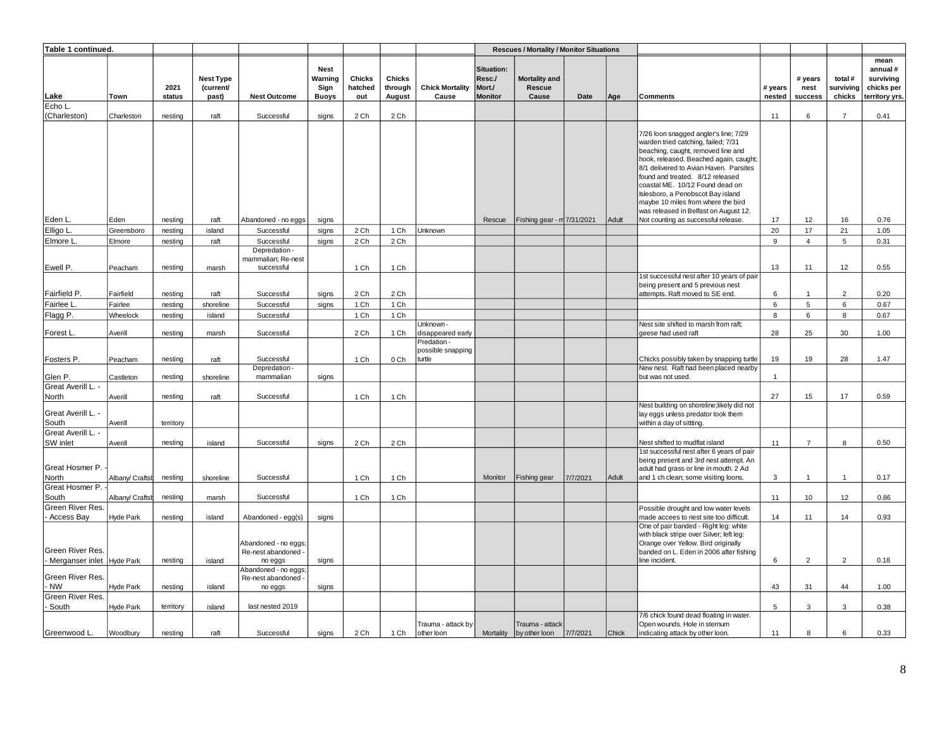| Table 1 continued.                   |                    |                      |                               |                                                   |                                |                   |                          |                                  |                                | <b>Rescues / Mortality / Monitor Situations</b> |          |       |                                                                                                                                                                                                                                                                             |                |                 |                      |                                            |
|--------------------------------------|--------------------|----------------------|-------------------------------|---------------------------------------------------|--------------------------------|-------------------|--------------------------|----------------------------------|--------------------------------|-------------------------------------------------|----------|-------|-----------------------------------------------------------------------------------------------------------------------------------------------------------------------------------------------------------------------------------------------------------------------------|----------------|-----------------|----------------------|--------------------------------------------|
|                                      |                    | 2021                 | <b>Nest Type</b><br>(current/ |                                                   | <b>Nest</b><br>Warning<br>Sign | Chicks<br>hatched | <b>Chicks</b><br>through | <b>Chick Mortality</b>           | Situation:<br>Resc./<br>Mort./ | Mortality and<br><b>Rescue</b>                  |          |       |                                                                                                                                                                                                                                                                             | # years        | # years<br>nest | total #<br>surviving | mean<br>annual#<br>surviving<br>chicks per |
| Lake                                 | Town               | status               | past)                         | <b>Nest Outcome</b>                               | <b>Buoys</b>                   | out               | August                   | Cause                            | <b>Monitor</b>                 | Cause                                           | Date     | Age   | Comments                                                                                                                                                                                                                                                                    | nested         | success         | chicks               | territory yrs.                             |
| Echo L<br>(Charleston)               | Charleston         | nesting              | raft                          | Successful                                        | signs                          | 2 Ch              | 2 Ch                     |                                  |                                |                                                 |          |       |                                                                                                                                                                                                                                                                             | 11             | 6               | $\overline{7}$       | 0.41                                       |
|                                      |                    |                      |                               |                                                   |                                |                   |                          |                                  |                                |                                                 |          |       | 7/26 loon snagged angler's line; 7/29<br>warden tried catching, failed; 7/31<br>beaching, caught, removed line and                                                                                                                                                          |                |                 |                      |                                            |
|                                      |                    |                      |                               |                                                   |                                |                   |                          |                                  |                                |                                                 |          |       | hook, released. Beached again, caught;<br>8/1 delivered to Avian Haven. Parsites<br>found and treated. 8/12 released<br>coastal ME. 10/12 Found dead on<br>Islesboro, a Penobscot Bay island<br>maybe 10 miles from where the bird<br>was released in Belfast on August 12. |                |                 |                      |                                            |
| Eden L                               | Eden               | nesting              | raft                          | Abandoned - no eggs                               | signs                          |                   |                          |                                  | Rescue                         | Fishing gear - m 7/31/2021                      |          | Adult | Not counting as successful release.                                                                                                                                                                                                                                         | 17             | 12              | 16                   | 0.76                                       |
| Elligo L.                            | Greensboro         | nesting              | island                        | Successful                                        | signs                          | 2 Ch              | 1 Ch                     | Unknown                          |                                |                                                 |          |       |                                                                                                                                                                                                                                                                             | 20             | 17              | 21                   | 1.05                                       |
| Elmore L                             | Elmore             | nesting              | raft                          | Successful                                        | signs                          | 2 Ch              | 2 Ch                     |                                  |                                |                                                 |          |       |                                                                                                                                                                                                                                                                             | 9              | $\overline{4}$  | 5                    | 0.31                                       |
| Ewell P.                             | Peacham            | nesting              | marsh                         | Depredation -<br>mammalian; Re-nest<br>successful |                                | 1 Ch              | 1 Ch                     |                                  |                                |                                                 |          |       |                                                                                                                                                                                                                                                                             | 13             | 11              | 12                   | 0.55                                       |
| Fairfield P.                         | Fairfield          | nesting              | raft                          | Successful                                        | signs                          | 2 Ch              | 2 Ch                     |                                  |                                |                                                 |          |       | 1st successful nest after 10 years of pair<br>being present and 5 previous nest<br>attempts. Raft moved to SE end.                                                                                                                                                          | 6              | $\overline{1}$  | $\overline{2}$       | 0.20                                       |
| Fairlee L                            | Fairlee            | nesting              | shoreline                     | Successful                                        | signs                          | 1 Ch              | 1 Ch                     |                                  |                                |                                                 |          |       |                                                                                                                                                                                                                                                                             | 6              | $\sqrt{5}$      | 6                    | 0.67                                       |
| Flagg P.                             | Wheelock           | nesting              | island                        | Successful                                        |                                | 1 Ch              | 1 Ch                     |                                  |                                |                                                 |          |       |                                                                                                                                                                                                                                                                             | 8              | 6               | 8                    | 0.67                                       |
|                                      |                    |                      |                               |                                                   |                                |                   |                          | Jnknown -                        |                                |                                                 |          |       | Nest site shifted to marsh from raft;                                                                                                                                                                                                                                       |                |                 |                      |                                            |
| Forest L.                            | Averill            | nesting              | marsh                         | Successful                                        |                                | 2 Ch              | 1 Ch                     | disappeared early<br>Predation-  |                                |                                                 |          |       | geese had used raft                                                                                                                                                                                                                                                         | 28             | 25              | 30                   | 1.00                                       |
| Fosters P.                           | Peacham            | nesting              | raft                          | Successful                                        |                                | 1 Ch              | 0 Ch                     | possible snapping<br>turtle      |                                |                                                 |          |       | Chicks possibly taken by snapping turtle                                                                                                                                                                                                                                    | 19             | 19              | 28                   | 1.47                                       |
| Glen P.                              | Castleton          | nesting              | shoreline                     | Depredation -<br>mammalian                        | signs                          |                   |                          |                                  |                                |                                                 |          |       | New nest. Raft had been placed nearby<br>but was not used.                                                                                                                                                                                                                  | $\overline{1}$ |                 |                      |                                            |
| Great Averill L. -                   |                    |                      |                               |                                                   |                                |                   |                          |                                  |                                |                                                 |          |       |                                                                                                                                                                                                                                                                             |                |                 |                      | 0.59                                       |
| North<br>Great Averill L. -<br>South | Averill<br>Averill | nesting<br>territory | raft                          | Successful                                        |                                | 1 Ch              | 1 Ch                     |                                  |                                |                                                 |          |       | Nest building on shoreline; likely did not<br>lay eggs unless predator took them<br>within a day of sittting.                                                                                                                                                               | 27             | 15              | 17                   |                                            |
| Great Averill L. -                   |                    |                      |                               |                                                   |                                |                   |                          |                                  |                                |                                                 |          |       |                                                                                                                                                                                                                                                                             |                |                 |                      |                                            |
| SW inlet                             | Averill            | nesting              | island                        | Successful                                        | signs                          | 2 Ch              | 2 Ch                     |                                  |                                |                                                 |          |       | Nest shifted to mudflat island<br>1st successful nest after 6 years of pair                                                                                                                                                                                                 | 11             | $\overline{7}$  | 8                    | 0.50                                       |
| Great Hosmer P.<br>North             | Albany/ Craftsh    | nesting              | shoreline                     | Successful                                        |                                | 1 Ch              | 1 Ch                     |                                  | Monitor                        | Fishing gear                                    | 7/7/2021 | Adult | being present and 3rd nest attempt. An<br>adult had grass or line in mouth. 2 Ad<br>and 1 ch clean; some visiting loons.                                                                                                                                                    | 3              | $\overline{1}$  | $\overline{1}$       | 0.17                                       |
| Great Hosmer P.                      |                    |                      |                               |                                                   |                                |                   |                          |                                  |                                |                                                 |          |       |                                                                                                                                                                                                                                                                             |                |                 |                      |                                            |
| South                                | Albany/ Craftst    | nesting              | marsh                         | Successful                                        |                                | 1 Ch              | 1 Ch                     |                                  |                                |                                                 |          |       |                                                                                                                                                                                                                                                                             | 11             | 10              | 12                   | 0.86                                       |
| Green River Res.<br>Access Bay       | Hyde Park          | nesting              | island                        | Abandoned - egg(s)                                | signs                          |                   |                          |                                  |                                |                                                 |          |       | Possible drought and low water levels<br>made accees to nest site too difficult.                                                                                                                                                                                            | 14             | 11              | 14                   | 0.93                                       |
| Green River Res.                     |                    |                      |                               | Abandoned - no eggs;<br>Re-nest abandoned -       |                                |                   |                          |                                  |                                |                                                 |          |       | One of pair banded - Right leg: white<br>with black stripe over Silver; left leg:<br>Orange over Yellow. Bird originally<br>banded on L. Eden in 2006 after fishing                                                                                                         |                |                 |                      |                                            |
| Merganser inlet Hyde Park            |                    | nesting              | island                        | no eggs                                           | signs                          |                   |                          |                                  |                                |                                                 |          |       | line incident.                                                                                                                                                                                                                                                              | 6              | $\overline{2}$  | $\overline{2}$       | 0.18                                       |
| Green River Res.<br><b>NW</b>        |                    |                      |                               | Abandoned - no eggs;<br>Re-nest abandoned -       |                                |                   |                          |                                  |                                |                                                 |          |       |                                                                                                                                                                                                                                                                             |                |                 |                      |                                            |
| Green River Res.                     | Hyde Park          | nesting              | island                        | no eggs                                           | signs                          |                   |                          |                                  |                                |                                                 |          |       |                                                                                                                                                                                                                                                                             | 43             | 31              | 44                   | 1.00                                       |
| South                                | Hyde Park          | territory            | island                        | last nested 2019                                  |                                |                   |                          |                                  |                                |                                                 |          |       | 7/6 chick found dead floating in water.                                                                                                                                                                                                                                     | 5              | 3               | 3                    | 0.38                                       |
| Greenwood L.                         | Woodbury           | nesting              | raft                          | Successful                                        | signs                          | 2 Ch              | 1 Ch                     | Trauma - attack by<br>other loon | Mortality                      | Trauma - attack<br>by other loon                | 7/7/2021 | Chick | Open wounds. Hole in sternum<br>indicating attack by other loon.                                                                                                                                                                                                            | 11             | 8               | 6                    | 0.33                                       |
|                                      |                    |                      |                               |                                                   |                                |                   |                          |                                  |                                |                                                 |          |       |                                                                                                                                                                                                                                                                             |                |                 |                      |                                            |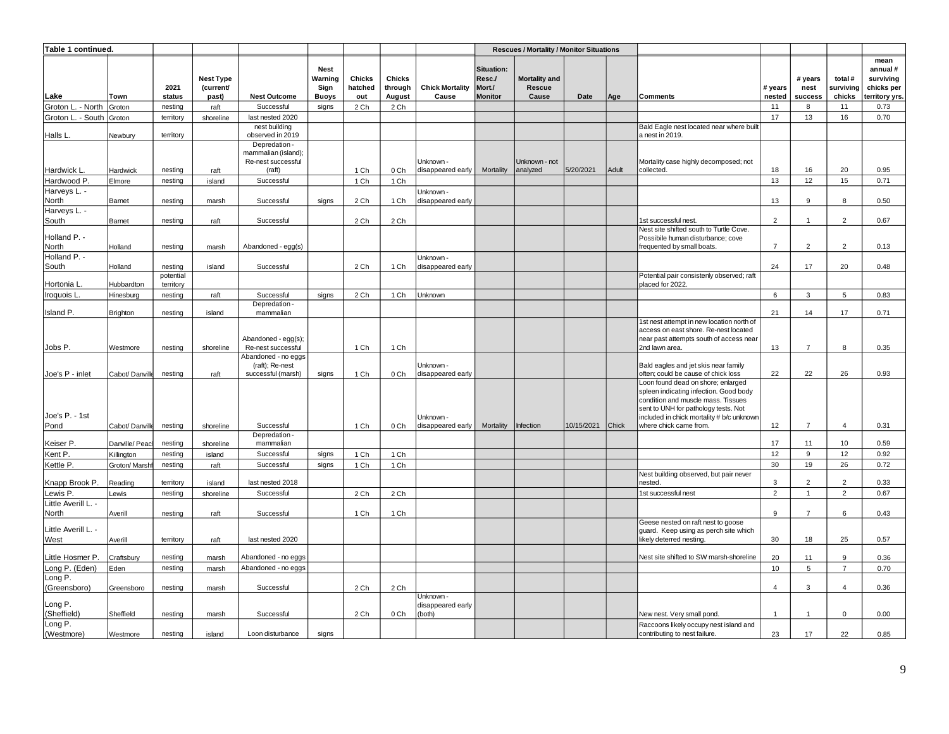| Table 1 continued.           |                 |           |                               |                                                                      |                                |                          |                          |                                          |                                | <b>Rescues / Mortality / Monitor Situations</b> |            |       |                                                                                                                                                   |                |                 |                      |                                            |
|------------------------------|-----------------|-----------|-------------------------------|----------------------------------------------------------------------|--------------------------------|--------------------------|--------------------------|------------------------------------------|--------------------------------|-------------------------------------------------|------------|-------|---------------------------------------------------------------------------------------------------------------------------------------------------|----------------|-----------------|----------------------|--------------------------------------------|
|                              |                 | 2021      | <b>Nest Type</b><br>(current/ |                                                                      | <b>Nest</b><br>Warning<br>Sign | <b>Chicks</b><br>hatched | <b>Chicks</b><br>through | <b>Chick Mortality</b>                   | Situation:<br>Resc./<br>Mort./ | Mortality and<br>Rescue                         |            |       |                                                                                                                                                   | # years        | # years<br>nest | total #<br>surviving | mean<br>annual#<br>surviving<br>chicks per |
| Lake                         | Town            | status    | past)                         | <b>Nest Outcome</b>                                                  | <b>Buoys</b>                   | out                      | August                   | Cause                                    | <b>Monitor</b>                 | Cause                                           | Date       | Age   | <b>Comments</b>                                                                                                                                   | nested         | success         | chicks               | erritory yrs.                              |
| Groton L. - North            | Groton          | nesting   | raft                          | Successful                                                           | signs                          | 2 Ch                     | 2 Ch                     |                                          |                                |                                                 |            |       |                                                                                                                                                   | 11             | 8               | 11                   | 0.73                                       |
| Groton L. - South Groton     |                 | territory | shoreline                     | last nested 2020                                                     |                                |                          |                          |                                          |                                |                                                 |            |       |                                                                                                                                                   | 17             | 13              | 16                   | 0.70                                       |
| Halls L                      | Newbury         | territory |                               | nest building<br>observed in 2019                                    |                                |                          |                          |                                          |                                |                                                 |            |       | Bald Eagle nest located near where built<br>a nest in 2019.                                                                                       |                |                 |                      |                                            |
| Hardwick L.                  | Hardwick        | nesting   | raft                          | Depredation -<br>mammalian (island);<br>Re-nest successful<br>(raft) |                                | 1 Ch                     | 0 Ch                     | Unknown -<br>disappeared early           | Mortality                      | Unknown - not<br>analyzed                       | 5/20/2021  | Adult | Mortality case highly decomposed; not<br>collected.                                                                                               | 18             | 16              | 20                   | 0.95                                       |
| Hardwood P.                  | Elmore          | nesting   | island                        | Successful                                                           |                                | 1 Ch                     | 1 Ch                     |                                          |                                |                                                 |            |       |                                                                                                                                                   | 13             | 12              | 15                   | 0.71                                       |
| Harveys L. -                 |                 |           |                               |                                                                      |                                |                          |                          | Unknown -                                |                                |                                                 |            |       |                                                                                                                                                   |                |                 |                      |                                            |
| North                        | Barnet          | nesting   | marsh                         | Successful                                                           | signs                          | 2 Ch                     | 1 Ch                     | disappeared early                        |                                |                                                 |            |       |                                                                                                                                                   | 13             | 9               | 8                    | 0.50                                       |
| Harveys L. -                 |                 |           |                               |                                                                      |                                |                          |                          |                                          |                                |                                                 |            |       |                                                                                                                                                   |                |                 |                      |                                            |
| South                        | Barnet          | nesting   | raft                          | Successful                                                           |                                | 2 Ch                     | 2 Ch                     |                                          |                                |                                                 |            |       | 1st successful nest.                                                                                                                              | $\overline{2}$ | $\overline{1}$  | $\overline{2}$       | 0.67                                       |
| Holland P. -                 |                 |           |                               |                                                                      |                                |                          |                          |                                          |                                |                                                 |            |       | Nest site shifted south to Turtle Cove.<br>Possibile human disturbance; cove                                                                      |                |                 |                      |                                            |
| North                        | Holland         | nesting   | marsh                         | Abandoned - egg(s)                                                   |                                |                          |                          |                                          |                                |                                                 |            |       | frequented by small boats.                                                                                                                        | $\overline{7}$ | $\overline{2}$  | 2                    | 0.13                                       |
| Holland P. -<br>South        | Holland         | nesting   | island                        | Successful                                                           |                                | 2 Ch                     | 1 Ch                     | Unknown -<br>disappeared early           |                                |                                                 |            |       |                                                                                                                                                   | 24             | 17              | 20                   | 0.48                                       |
|                              |                 | potential |                               |                                                                      |                                |                          |                          |                                          |                                |                                                 |            |       | Potential pair consistenly observed; raft                                                                                                         |                |                 |                      |                                            |
| Hortonia L.                  | Hubbardton      | territory |                               |                                                                      |                                |                          |                          |                                          |                                |                                                 |            |       | placed for 2022.                                                                                                                                  |                |                 |                      |                                            |
| Iroquois L                   | Hinesburg       | nesting   | raft                          | Successful<br>Depredation -                                          | signs                          | 2 Ch                     | 1 Ch                     | Unknown                                  |                                |                                                 |            |       |                                                                                                                                                   | 6              | 3               | 5                    | 0.83                                       |
| Island P.                    | <b>Brighton</b> | nesting   | island                        | mammalian                                                            |                                |                          |                          |                                          |                                |                                                 |            |       |                                                                                                                                                   | 21             | 14              | 17                   | 0.71                                       |
|                              |                 |           |                               | Abandoned - egg(s);                                                  |                                |                          |                          |                                          |                                |                                                 |            |       | 1st nest attempt in new location north of<br>access on east shore. Re-nest located<br>near past attempts south of access near                     |                |                 |                      |                                            |
| Jobs P.                      | Westmore        | nesting   | shoreline                     | Re-nest successful                                                   |                                | 1 Ch                     | 1 Ch                     |                                          |                                |                                                 |            |       | 2nd lawn area.                                                                                                                                    | 13             | $\overline{7}$  | 8                    | 0.35                                       |
| Joe's P - inlet              | Cabot/ Danville | nesting   | raft                          | Abandoned - no eggs<br>(raft); Re-nest<br>successful (marsh)         | signs                          | 1 Ch                     | 0 Ch                     | Unknown -<br>disappeared early           |                                |                                                 |            |       | Bald eagles and jet skis near family<br>often; could be cause of chick loss                                                                       | 22             | 22              | 26                   | 0.93                                       |
|                              |                 |           |                               |                                                                      |                                |                          |                          |                                          |                                |                                                 |            |       | Loon found dead on shore; enlarged<br>spleen indicating infection. Good body                                                                      |                |                 |                      |                                            |
| Joe's P. - 1st<br>Pond       | Cabot/ Danville | nesting   | shoreline                     | Successful                                                           |                                | 1 Ch                     | 0 Ch                     | Unknown -<br>disappeared early           | Mortality                      | Infection                                       | 10/15/2021 | Chick | condition and muscle mass. Tissues<br>sent to UNH for pathology tests. Not<br>included in chick mortality # b/c unknowr<br>where chick came from. | 12             | $\overline{7}$  | $\overline{4}$       | 0.31                                       |
|                              |                 |           |                               | Depredation -                                                        |                                |                          |                          |                                          |                                |                                                 |            |       |                                                                                                                                                   |                |                 |                      |                                            |
| Keiser P.                    | Danville/Peac   | nesting   | shoreline                     | mammalian                                                            |                                |                          |                          |                                          |                                |                                                 |            |       |                                                                                                                                                   | 17             | 11              | 10                   | 0.59                                       |
| Kent P.                      | Killington      | nesting   | island                        | Successful                                                           | signs                          | 1 Ch                     | 1 Ch                     |                                          |                                |                                                 |            |       |                                                                                                                                                   | 12             | 9               | 12                   | 0.92                                       |
| Kettle P.                    | Groton/ Marshf  | nesting   | raft                          | Successful                                                           | signs                          | 1 Ch                     | 1 Ch                     |                                          |                                |                                                 |            |       |                                                                                                                                                   | 30             | 19              | 26                   | 0.72                                       |
| Knapp Brook P.               | Reading         | territory | island                        | last nested 2018                                                     |                                |                          |                          |                                          |                                |                                                 |            |       | Nest building observed, but pair never<br>nested.                                                                                                 | 3              | $\overline{2}$  | $\overline{2}$       | 0.33                                       |
| Lewis P.                     | Lewis           | nesting   | shoreline                     | Successful                                                           |                                | 2 Ch                     | 2 Ch                     |                                          |                                |                                                 |            |       | 1st successful nest                                                                                                                               | $\overline{2}$ | $\mathbf{1}$    | $\overline{2}$       | 0.67                                       |
| Little Averill L. -<br>North | Averill         | nesting   | raft                          | Successful                                                           |                                | 1 Ch                     | 1 Ch                     |                                          |                                |                                                 |            |       |                                                                                                                                                   | 9              | $\overline{7}$  | 6                    | 0.43                                       |
| Little Averill L. -<br>West  | Averill         | territory | raft                          | last nested 2020                                                     |                                |                          |                          |                                          |                                |                                                 |            |       | Geese nested on raft nest to goose<br>guard. Keep using as perch site which<br>likely deterred nesting                                            | 30             | 18              | 25                   | 0.57                                       |
| Little Hosmer P.             | Craftsbury      | nesting   | marsh                         | Abandoned - no eggs                                                  |                                |                          |                          |                                          |                                |                                                 |            |       | Nest site shifted to SW marsh-shoreline                                                                                                           | 20             | 11              | 9                    | 0.36                                       |
| Long P. (Eden)               | Eden            | nesting   | marsh                         | Abandoned - no eggs                                                  |                                |                          |                          |                                          |                                |                                                 |            |       |                                                                                                                                                   | 10             | $\overline{5}$  | $\overline{7}$       | 0.70                                       |
| Long P.<br>(Greensboro)      | Greensboro      | nesting   | marsh                         | Successful                                                           |                                | 2 Ch                     | 2 Ch                     |                                          |                                |                                                 |            |       |                                                                                                                                                   | $\overline{4}$ | 3               | $\overline{4}$       | 0.36                                       |
| Long P.<br>(Sheffield)       | Sheffield       | nesting   | marsh                         | Successful                                                           |                                | 2 Ch                     | 0 Ch                     | Unknown -<br>disappeared early<br>(both) |                                |                                                 |            |       | New nest. Very small pond.                                                                                                                        | $\overline{1}$ | $\mathbf{1}$    | $\mathbf{0}$         | 0.00                                       |
| Long P.<br>(Westmore)        | Westmore        | nesting   | island                        | Loon disturbance                                                     | signs                          |                          |                          |                                          |                                |                                                 |            |       | Raccoons likely occupy nest island and<br>contributing to nest failure.                                                                           | 23             | 17              | 22                   | 0.85                                       |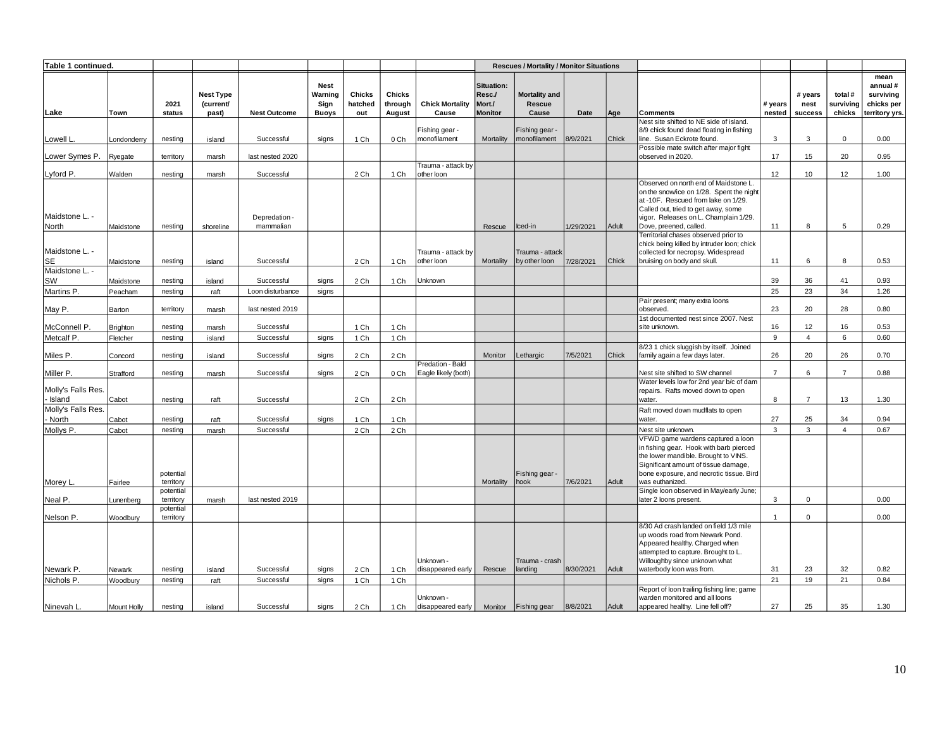| Table 1 continued.           |             |                        |                                        |                            |                                                |                                 |                                    |                                         |                                                  | <b>Rescues / Mortality / Monitor Situations</b> |           |       |                                                                                                                                                                                                                                                                            |                   |                            |                                |                                                              |
|------------------------------|-------------|------------------------|----------------------------------------|----------------------------|------------------------------------------------|---------------------------------|------------------------------------|-----------------------------------------|--------------------------------------------------|-------------------------------------------------|-----------|-------|----------------------------------------------------------------------------------------------------------------------------------------------------------------------------------------------------------------------------------------------------------------------------|-------------------|----------------------------|--------------------------------|--------------------------------------------------------------|
| Lake                         | Town        | 2021<br>status         | <b>Nest Type</b><br>(current/<br>past) | <b>Nest Outcome</b>        | <b>Nest</b><br>Warning<br>Sign<br><b>Buoys</b> | <b>Chicks</b><br>hatched<br>out | <b>Chicks</b><br>through<br>August | <b>Chick Mortality</b><br>Cause         | Situation:<br>Resc./<br>Mort./<br><b>Monitor</b> | Mortality and<br><b>Rescue</b><br>Cause         | Date      | Age   | <b>Comments</b>                                                                                                                                                                                                                                                            | # years<br>nested | # years<br>nest<br>success | total #<br>surviving<br>chicks | mean<br>annual#<br>surviving<br>chicks per<br>territory yrs. |
| Lowell L                     | Londonderry | nesting                | island                                 | Successful                 | signs                                          | 1 Ch                            | 0 Ch                               | Fishing gear -<br>monofilament          | Mortality                                        | Fishing gear -<br>nonofilament                  | 8/9/2021  | Chick | Nest site shifted to NE side of island.<br>8/9 chick found dead floating in fishing<br>line. Susan Eckrote found.                                                                                                                                                          | 3                 | 3                          | $\mathbf 0$                    | 0.00                                                         |
|                              |             |                        |                                        |                            |                                                |                                 |                                    |                                         |                                                  |                                                 |           |       | Possible mate switch after major fight                                                                                                                                                                                                                                     |                   |                            |                                |                                                              |
| Lower Symes P.               | Ryegate     | territory              | marsh                                  | last nested 2020           |                                                |                                 |                                    | Trauma - attack by                      |                                                  |                                                 |           |       | observed in 2020.                                                                                                                                                                                                                                                          | 17                | 15                         | 20                             | 0.95                                                         |
| Lyford P.                    | Walden      | nesting                | marsh                                  | Successful                 |                                                | 2 Ch                            | 1 Ch                               | other loon                              |                                                  |                                                 |           |       |                                                                                                                                                                                                                                                                            | 12                | 10                         | 12                             | 1.00                                                         |
| Maidstone L. -<br>North      | Maidstone   | nesting                | shoreline                              | Depredation -<br>mammalian |                                                |                                 |                                    |                                         | Rescue                                           | Iced-in                                         | 1/29/2021 | Adult | Observed on north end of Maidstone L.<br>on the snow/ice on 1/28. Spent the night<br>at -10F. Rescued from lake on 1/29.<br>Called out, tried to get away, some<br>vigor. Releases on L. Champlain 1/29.<br>Dove, preened, called.<br>Territorial chases observed prior to | 11                | 8                          | 5                              | 0.29                                                         |
| Maidstone L. -<br><b>SE</b>  | Maidstone   | nesting                | island                                 | Successful                 |                                                | 2 Ch                            | 1 Ch                               | Trauma - attack by<br>other loon        | Mortality                                        | Trauma - attack<br>by other loon                | 7/28/2021 | Chick | chick being killed by intruder loon; chick<br>collected for necropsy. Widespread<br>bruising on body and skull.                                                                                                                                                            | 11                | 6                          | 8                              | 0.53                                                         |
| Maidstone L. -               |             |                        |                                        |                            |                                                |                                 |                                    |                                         |                                                  |                                                 |           |       |                                                                                                                                                                                                                                                                            |                   |                            |                                |                                                              |
| SW                           | Maidstone   | nesting                | island                                 | Successful                 | signs                                          | 2 Ch                            | 1 Ch                               | Unknown                                 |                                                  |                                                 |           |       |                                                                                                                                                                                                                                                                            | 39                | 36                         | 41                             | 0.93                                                         |
| Martins P.                   | Peacham     | nesting                | raft                                   | Loon disturbance           | signs                                          |                                 |                                    |                                         |                                                  |                                                 |           |       |                                                                                                                                                                                                                                                                            | 25                | 23                         | 34                             | 1.26                                                         |
| May P.                       | Barton      | territory              | marsh                                  | last nested 2019           |                                                |                                 |                                    |                                         |                                                  |                                                 |           |       | Pair present; many extra loons<br>observed.                                                                                                                                                                                                                                | 23                | 20                         | 28                             | 0.80                                                         |
| McConnell P.                 | Brighton    | nesting                | marsh                                  | Successful                 |                                                | 1 Ch                            | 1 Ch                               |                                         |                                                  |                                                 |           |       | 1st documented nest since 2007. Nest<br>site unknown.                                                                                                                                                                                                                      | 16                | 12                         | 16                             | 0.53                                                         |
| Metcalf P.                   | Fletcher    | nesting                | island                                 | Successful                 | signs                                          | 1 Ch                            | 1 Ch                               |                                         |                                                  |                                                 |           |       |                                                                                                                                                                                                                                                                            | 9                 | $\overline{4}$             | 6                              | 0.60                                                         |
| Miles P.                     | Concord     | nesting                | island                                 | Successful                 | signs                                          | 2 Ch                            | 2 Ch                               |                                         | Monitor                                          | ethargic                                        | 7/5/2021  | Chick | 8/23 1 chick sluggish by itself. Joined<br>family again a few days later.                                                                                                                                                                                                  | 26                | 20                         | 26                             | 0.70                                                         |
| Miller P.                    | Strafford   | nesting                | marsh                                  | Successful                 | signs                                          | 2 Ch                            | 0 Ch                               | Predation - Bald<br>Eagle likely (both) |                                                  |                                                 |           |       | Nest site shifted to SW channel                                                                                                                                                                                                                                            | $\overline{7}$    | 6                          | $\overline{7}$                 | 0.88                                                         |
| Molly's Falls Res.<br>Island | Cabot       | nesting                | raft                                   | Successful                 |                                                | 2 Ch                            | 2 Ch                               |                                         |                                                  |                                                 |           |       | Water levels low for 2nd year b/c of dam<br>repairs. Rafts moved down to open<br>water.                                                                                                                                                                                    | 8                 | $\overline{7}$             | 13                             | 1.30                                                         |
| Molly's Falls Res.           |             |                        |                                        |                            |                                                |                                 |                                    |                                         |                                                  |                                                 |           |       | Raft moved down mudflats to open                                                                                                                                                                                                                                           |                   |                            |                                |                                                              |
| North                        | Cabot       | nesting                | raft                                   | Successful                 | signs                                          | 1 Ch                            | 1 Ch                               |                                         |                                                  |                                                 |           |       | water.                                                                                                                                                                                                                                                                     | 27                | 25                         | 34                             | 0.94                                                         |
| Mollys P.                    | Cabot       | nesting                | marsh                                  | Successful                 |                                                | 2 Ch                            | 2 Ch                               |                                         |                                                  |                                                 |           |       | Nest site unknown.                                                                                                                                                                                                                                                         | $\overline{3}$    | 3                          | $\overline{4}$                 | 0.67                                                         |
| Morey L.                     | Fairlee     | potential<br>territory |                                        |                            |                                                |                                 |                                    |                                         | Mortality                                        | Fishing gear -<br><b>nook</b>                   | 7/6/2021  | Adult | VFWD game wardens captured a loon<br>in fishing gear. Hook with barb pierced<br>the lower mandible. Brought to VINS.<br>Significant amount of tissue damage,<br>bone exposure, and necrotic tissue. Bird<br>was euthanized.                                                |                   |                            |                                |                                                              |
| Neal P.                      | Lunenberg   | potential<br>territory | marsh                                  | last nested 2019           |                                                |                                 |                                    |                                         |                                                  |                                                 |           |       | Single loon observed in May/early June;<br>later 2 loons present.                                                                                                                                                                                                          | 3                 | $\mathbf 0$                |                                | 0.00                                                         |
| Nelson P.                    | Woodbury    | potential<br>territory |                                        |                            |                                                |                                 |                                    |                                         |                                                  |                                                 |           |       |                                                                                                                                                                                                                                                                            | $\overline{1}$    | $\mathbf 0$                |                                | 0.00                                                         |
| Newark P.                    | Newark      | nesting                | island                                 | Successful                 | signs                                          | 2 Ch                            | 1 Ch                               | Unknown -<br>disappeared early          | Rescue                                           | Trauma - crash<br>anding                        | 8/30/2021 | Adult | 8/30 Ad crash landed on field 1/3 mile<br>up woods road from Newark Pond.<br>Appeared healthy. Charged when<br>attempted to capture. Brought to L.<br>Willoughby since unknown what<br>waterbody loon was from.                                                            | 31                | 23                         | 32                             | 0.82                                                         |
| Nichols P.                   | Woodbury    | nesting                | raft                                   | Successful                 | signs                                          | 1 Ch                            | 1 Ch                               |                                         |                                                  |                                                 |           |       |                                                                                                                                                                                                                                                                            | 21                | 19                         | 21                             | 0.84                                                         |
| Ninevah L.                   | Mount Holly | nestina                | island                                 | Successful                 | signs                                          | 2 Ch                            | 1 Ch                               | Unknown -<br>disappeared early          | Monitor                                          | Fishing gear                                    | 8/8/2021  | Adult | Report of loon trailing fishing line; game<br>warden monitored and all loons<br>appeared healthy. Line fell off?                                                                                                                                                           | 27                | 25                         | 35                             | 1.30                                                         |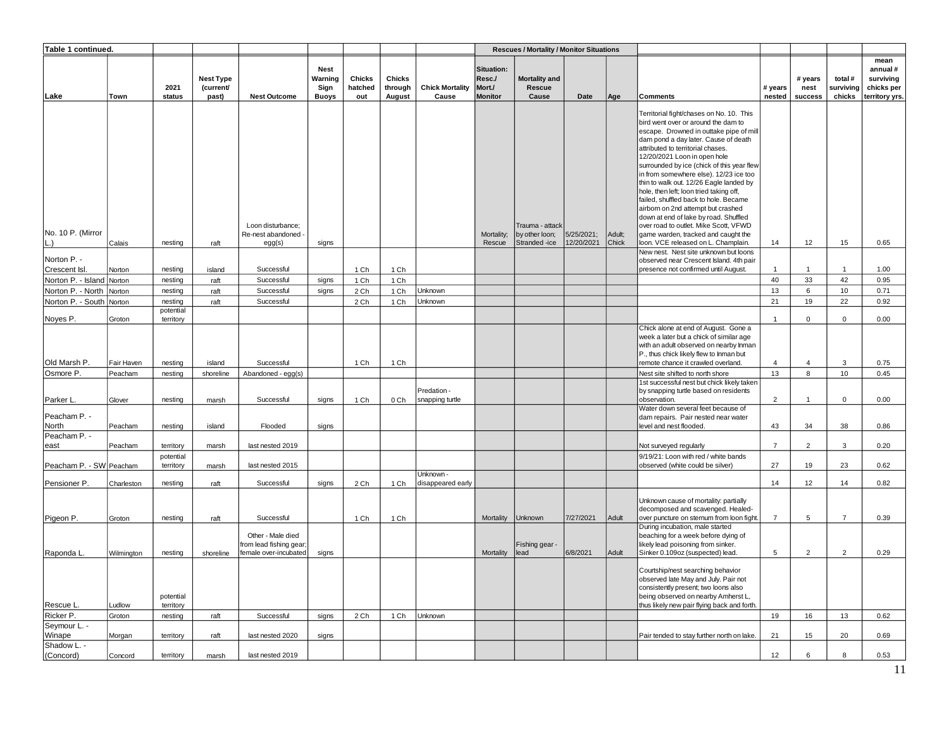| Table 1 continued.           |                       |                        |                                        |                                                                      |                                         |                          |                                    |                                 |                                                  | <b>Rescues / Mortality / Monitor Situations</b>    |                          |                 |                                                                                                                                                                                                                                                                                                                                                                                                                                                                                                                                                                                                                                                                      |                   |                            |                                |                                                              |
|------------------------------|-----------------------|------------------------|----------------------------------------|----------------------------------------------------------------------|-----------------------------------------|--------------------------|------------------------------------|---------------------------------|--------------------------------------------------|----------------------------------------------------|--------------------------|-----------------|----------------------------------------------------------------------------------------------------------------------------------------------------------------------------------------------------------------------------------------------------------------------------------------------------------------------------------------------------------------------------------------------------------------------------------------------------------------------------------------------------------------------------------------------------------------------------------------------------------------------------------------------------------------------|-------------------|----------------------------|--------------------------------|--------------------------------------------------------------|
| Lake                         | Town                  | 2021<br>status         | <b>Nest Type</b><br>(current/<br>past) | <b>Nest Outcome</b>                                                  | <b>Nest</b><br>Warning<br>Sign<br>Buoys | Chicks<br>hatched<br>out | <b>Chicks</b><br>through<br>August | <b>Chick Mortality</b><br>Cause | Situation:<br>Resc./<br>Mort./<br><b>Monitor</b> | <b>Mortality and</b><br>Rescue<br>Cause            | Date                     | Age             | <b>Comments</b>                                                                                                                                                                                                                                                                                                                                                                                                                                                                                                                                                                                                                                                      | # years<br>nested | # years<br>nest<br>success | total #<br>surviving<br>chicks | mean<br>annual#<br>surviving<br>chicks per<br>territory yrs. |
| No. 10 P. (Mirror<br>L.)     | Calais                | nesting                | raft                                   | Loon disturbance;<br>Re-nest abandoned<br>egg(s)                     | signs                                   |                          |                                    |                                 | Mortality;<br>Rescue                             | Trauma - attack<br>by other loon;<br>Stranded -ice | 5/25/2021;<br>12/20/2021 | Adult;<br>Chick | Territorial fight/chases on No. 10. This<br>bird went over or around the dam to<br>escape. Drowned in outtake pipe of mill<br>dam pond a day later. Cause of death<br>attributed to territorial chases.<br>12/20/2021 Loon in open hole<br>surrounded by ice (chick of this year flew<br>in from somewhere else). 12/23 ice too<br>thin to walk out. 12/26 Eagle landed by<br>hole, then left; loon tried taking off,<br>failed, shuffled back to hole. Became<br>airborn on 2nd attempt but crashed<br>down at end of lake by road. Shuffled<br>over road to outlet. Mike Scott, VFWD<br>game warden, tracked and caught the<br>loon. VCE released on L. Champlain. | 14                | 12                         | 15                             | 0.65                                                         |
|                              |                       |                        |                                        |                                                                      |                                         |                          |                                    |                                 |                                                  |                                                    |                          |                 | New nest. Nest site unknown but loons                                                                                                                                                                                                                                                                                                                                                                                                                                                                                                                                                                                                                                |                   |                            |                                |                                                              |
| Norton P. -<br>Crescent Isl. | Norton                | nesting                | island                                 | Successful                                                           |                                         | 1 Ch                     | 1 Ch                               |                                 |                                                  |                                                    |                          |                 | observed near Crescent Island. 4th pair<br>presence not confirmed until August.                                                                                                                                                                                                                                                                                                                                                                                                                                                                                                                                                                                      | $\overline{1}$    | $\mathbf{1}$               | $\overline{1}$                 | 1.00                                                         |
| Norton P. - Island Norton    |                       | nesting                | raft                                   | Successful                                                           | signs                                   | 1 Ch                     | 1 Ch                               |                                 |                                                  |                                                    |                          |                 |                                                                                                                                                                                                                                                                                                                                                                                                                                                                                                                                                                                                                                                                      | 40                | 33                         | 42                             | 0.95                                                         |
| Norton P. - North Norton     |                       | nesting                | raft                                   | Successful                                                           | signs                                   | 2 Ch                     | 1 Ch                               | Unknown                         |                                                  |                                                    |                          |                 |                                                                                                                                                                                                                                                                                                                                                                                                                                                                                                                                                                                                                                                                      | 13                | 6                          | 10                             | 0.71                                                         |
| Norton P. - South            | Norton                | nesting                | raft                                   | Successful                                                           |                                         | 2 Ch                     | 1 Ch                               | Unknown                         |                                                  |                                                    |                          |                 |                                                                                                                                                                                                                                                                                                                                                                                                                                                                                                                                                                                                                                                                      | 21                | 19                         | 22                             | 0.92                                                         |
| Noyes P.                     | Groton                | potential<br>territory |                                        |                                                                      |                                         |                          |                                    |                                 |                                                  |                                                    |                          |                 |                                                                                                                                                                                                                                                                                                                                                                                                                                                                                                                                                                                                                                                                      | $\overline{1}$    | $\mathbf 0$                | $\mathbf 0$                    | 0.00                                                         |
|                              |                       |                        |                                        | Successful                                                           |                                         |                          |                                    |                                 |                                                  |                                                    |                          |                 | Chick alone at end of August. Gone a<br>week a later but a chick of similar age<br>with an adult observed on nearby Inman<br>P., thus chick likely flew to Inman but                                                                                                                                                                                                                                                                                                                                                                                                                                                                                                 | $\overline{4}$    | $\overline{4}$             | 3                              | 0.75                                                         |
| Old Marsh P.<br>Osmore P.    | Fair Haven<br>Peacham | nesting<br>nesting     | island<br>shoreline                    | Abandoned - egg(s)                                                   |                                         | 1 Ch                     | 1 Ch                               |                                 |                                                  |                                                    |                          |                 | remote chance it crawled overland.<br>Nest site shifted to north shore                                                                                                                                                                                                                                                                                                                                                                                                                                                                                                                                                                                               | 13                | 8                          | 10                             | 0.45                                                         |
| Parker L.                    | Glover                | nesting                | marsh                                  | Successful                                                           | signs                                   | 1 Ch                     | 0 Ch                               | Predation -<br>snapping turtle  |                                                  |                                                    |                          |                 | 1st successful nest but chick likely taken<br>by snapping turtle based on residents<br>observation.                                                                                                                                                                                                                                                                                                                                                                                                                                                                                                                                                                  | $\overline{2}$    | $\mathbf{1}$               | $\mathbf 0$                    | 0.00                                                         |
| Peacham P. -<br>North        | Peacham               | nesting                | island                                 | Flooded                                                              | signs                                   |                          |                                    |                                 |                                                  |                                                    |                          |                 | Water down several feet because of<br>dam repairs. Pair nested near water<br>level and nest flooded.                                                                                                                                                                                                                                                                                                                                                                                                                                                                                                                                                                 | 43                | 34                         | 38                             | 0.86                                                         |
| Peacham P. -                 |                       |                        |                                        |                                                                      |                                         |                          |                                    |                                 |                                                  |                                                    |                          |                 |                                                                                                                                                                                                                                                                                                                                                                                                                                                                                                                                                                                                                                                                      |                   |                            |                                |                                                              |
| east                         | Peacham               | territory<br>potential | marsh                                  | last nested 2019                                                     |                                         |                          |                                    |                                 |                                                  |                                                    |                          |                 | Not surveyed regularly<br>9/19/21: Loon with red / white bands                                                                                                                                                                                                                                                                                                                                                                                                                                                                                                                                                                                                       | $\overline{7}$    | 2                          | 3                              | 0.20                                                         |
| Peacham P. - SW Peacham      |                       | territory              | marsh                                  | last nested 2015                                                     |                                         |                          |                                    | Unknown -                       |                                                  |                                                    |                          |                 | observed (white could be silver)                                                                                                                                                                                                                                                                                                                                                                                                                                                                                                                                                                                                                                     | 27                | 19                         | 23                             | 0.62                                                         |
| Pensioner P.                 | Charleston            | nesting                | raft                                   | Successful                                                           | signs                                   | 2 Ch                     | 1 Ch                               | disappeared early               |                                                  |                                                    |                          |                 |                                                                                                                                                                                                                                                                                                                                                                                                                                                                                                                                                                                                                                                                      | 14                | 12                         | 14                             | 0.82                                                         |
| Pigeon P.                    | Groton                | nesting                | raft                                   | Successful                                                           |                                         | 1 Ch                     | 1 Ch                               |                                 | Mortality                                        | Unknown                                            | 7/27/2021                | Adult           | Unknown cause of mortality: partially<br>decomposed and scavenged. Healed-<br>over puncture on sternum from loon fight.<br>During incubation, male started                                                                                                                                                                                                                                                                                                                                                                                                                                                                                                           | $\overline{7}$    | 5                          | $\overline{7}$                 | 0.39                                                         |
| Raponda L.                   | Wilmington            | nesting                | shoreline                              | Other - Male died<br>from lead fishing gear<br>female over-incubated | signs                                   |                          |                                    |                                 | Mortality                                        | Fishing gear -<br>lead                             | 6/8/2021                 | Adult           | beaching for a week before dying of<br>likely lead poisoning from sinker.<br>Sinker 0.109oz (suspected) lead.                                                                                                                                                                                                                                                                                                                                                                                                                                                                                                                                                        | 5                 | $\overline{2}$             | $\overline{2}$                 | 0.29                                                         |
| Rescue L.                    | Ludlow                | potential<br>territory |                                        |                                                                      |                                         |                          |                                    |                                 |                                                  |                                                    |                          |                 | Courtship/nest searching behavior<br>observed late May and July. Pair not<br>consistently present; two loons also<br>being observed on nearby Amherst L,<br>thus likely new pair flying back and forth.                                                                                                                                                                                                                                                                                                                                                                                                                                                              |                   |                            |                                |                                                              |
| Ricker P.                    | Groton                | nesting                | raft                                   | Successful                                                           | signs                                   | 2 Ch                     | 1 Ch                               | Unknown                         |                                                  |                                                    |                          |                 |                                                                                                                                                                                                                                                                                                                                                                                                                                                                                                                                                                                                                                                                      | 19                | 16                         | 13                             | 0.62                                                         |
| Seymour L. -<br>Winape       | Morgan                | territory              | raft                                   | last nested 2020                                                     | signs                                   |                          |                                    |                                 |                                                  |                                                    |                          |                 | Pair tended to stay further north on lake.                                                                                                                                                                                                                                                                                                                                                                                                                                                                                                                                                                                                                           | 21                | 15                         | 20                             | 0.69                                                         |
| Shadow L. -                  |                       |                        |                                        |                                                                      |                                         |                          |                                    |                                 |                                                  |                                                    |                          |                 |                                                                                                                                                                                                                                                                                                                                                                                                                                                                                                                                                                                                                                                                      | 12                | 6                          | 8                              |                                                              |
| (Concord)                    | Concord               | territory              | marsh                                  | last nested 2019                                                     |                                         |                          |                                    |                                 |                                                  |                                                    |                          |                 |                                                                                                                                                                                                                                                                                                                                                                                                                                                                                                                                                                                                                                                                      |                   |                            |                                | 0.53                                                         |
|                              |                       |                        |                                        |                                                                      |                                         |                          |                                    |                                 |                                                  |                                                    |                          |                 |                                                                                                                                                                                                                                                                                                                                                                                                                                                                                                                                                                                                                                                                      |                   |                            |                                | 11                                                           |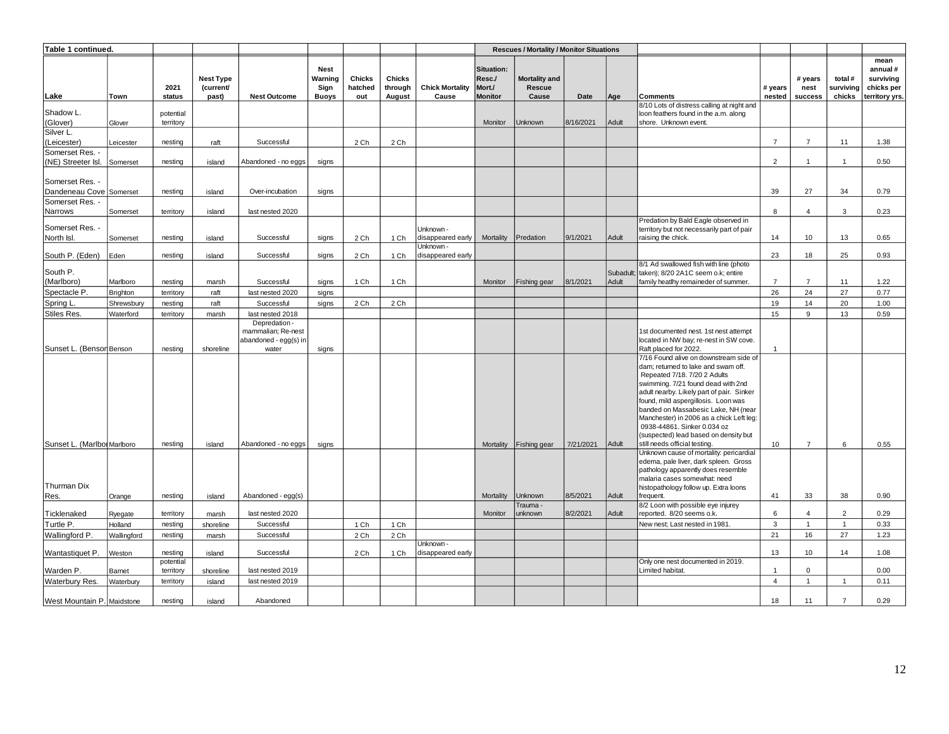| Table 1 continued.                         |                 |                        |                                        |                                                                       |                                         |                          |                                    |                                 |                                                  | <b>Rescues / Mortality / Monitor Situations</b> |             |                    |                                                                                                                                                                                                                                                                                                                                                                                                                                     |                   |                            |                                |                                                              |
|--------------------------------------------|-----------------|------------------------|----------------------------------------|-----------------------------------------------------------------------|-----------------------------------------|--------------------------|------------------------------------|---------------------------------|--------------------------------------------------|-------------------------------------------------|-------------|--------------------|-------------------------------------------------------------------------------------------------------------------------------------------------------------------------------------------------------------------------------------------------------------------------------------------------------------------------------------------------------------------------------------------------------------------------------------|-------------------|----------------------------|--------------------------------|--------------------------------------------------------------|
| Lake                                       | Town            | 2021<br>status         | <b>Nest Type</b><br>(current/<br>past) | <b>Nest Outcome</b>                                                   | Nest<br>Warning<br>Sign<br><b>Buoys</b> | Chicks<br>hatched<br>out | <b>Chicks</b><br>through<br>August | <b>Chick Mortality</b><br>Cause | Situation:<br>Resc./<br>Mort./<br><b>Monitor</b> | Mortality and<br>Rescue<br>Cause                | <b>Date</b> | Age                | Comments                                                                                                                                                                                                                                                                                                                                                                                                                            | # years<br>nested | # years<br>nest<br>success | total #<br>surviving<br>chicks | mean<br>annual#<br>surviving<br>chicks per<br>territory yrs. |
| Shadow L.<br>(Glover)                      | Glover          | potential<br>territory |                                        |                                                                       |                                         |                          |                                    |                                 | Monitor                                          | Jnknown                                         | 8/16/2021   | Adult              | 8/10 Lots of distress calling at night and<br>loon feathers found in the a.m. along<br>shore. Unknown event.                                                                                                                                                                                                                                                                                                                        |                   |                            |                                |                                                              |
| Silver L.                                  |                 |                        |                                        |                                                                       |                                         |                          |                                    |                                 |                                                  |                                                 |             |                    |                                                                                                                                                                                                                                                                                                                                                                                                                                     |                   |                            |                                |                                                              |
| (Leicester)<br>Somerset Res. -             | Leicester       | nesting                | raft                                   | Successful                                                            |                                         | 2 Ch                     | 2 Ch                               |                                 |                                                  |                                                 |             |                    |                                                                                                                                                                                                                                                                                                                                                                                                                                     | $\overline{7}$    | $\overline{7}$             | 11                             | 1.38                                                         |
| (NE) Streeter Isl.                         | Somerset        | nesting                | island                                 | Abandoned - no eggs                                                   | signs                                   |                          |                                    |                                 |                                                  |                                                 |             |                    |                                                                                                                                                                                                                                                                                                                                                                                                                                     | $\overline{2}$    | $\overline{1}$             | $\overline{1}$                 | 0.50                                                         |
| Somerset Res. -<br>Dandeneau Cove Somerset |                 | nestina                | island                                 | Over-incubation                                                       | signs                                   |                          |                                    |                                 |                                                  |                                                 |             |                    |                                                                                                                                                                                                                                                                                                                                                                                                                                     | 39                | 27                         | 34                             | 0.79                                                         |
| Somerset Res. -                            |                 |                        |                                        |                                                                       |                                         |                          |                                    |                                 |                                                  |                                                 |             |                    |                                                                                                                                                                                                                                                                                                                                                                                                                                     |                   |                            |                                |                                                              |
| Narrows                                    | Somerset        | territory              | island                                 | last nested 2020                                                      |                                         |                          |                                    |                                 |                                                  |                                                 |             |                    |                                                                                                                                                                                                                                                                                                                                                                                                                                     | 8                 | $\overline{4}$             | 3                              | 0.23                                                         |
| Somerset Res. -                            |                 |                        |                                        |                                                                       |                                         |                          |                                    | Unknown -                       |                                                  |                                                 |             |                    | Predation by Bald Eagle observed in<br>territory but not necessarily part of pair                                                                                                                                                                                                                                                                                                                                                   |                   |                            |                                |                                                              |
| North Isl.                                 | Somerset        | nesting                | island                                 | Successful                                                            | signs                                   | 2 Ch                     | 1 Ch                               | disappeared early<br>Unknown -  | Mortality                                        | Predation                                       | 9/1/2021    | Adult              | raising the chick.                                                                                                                                                                                                                                                                                                                                                                                                                  | 14                | 10                         | 13                             | 0.65                                                         |
| South P. (Eden)                            | Eden            | nesting                | island                                 | Successful                                                            | signs                                   | 2 Ch                     | 1 Ch                               | disappeared early               |                                                  |                                                 |             |                    | 8/1 Ad swallowed fish with line (photo                                                                                                                                                                                                                                                                                                                                                                                              | 23                | 18                         | 25                             | 0.93                                                         |
| South P.<br>(Marlboro)                     | Marlboro        | nesting                | marsh                                  | Successful                                                            | signs                                   | 1 Ch                     | 1 Ch                               |                                 | Monitor                                          | Fishing gear                                    | 8/1/2021    | Subadult;<br>Adult | taken); 8/20 2A1C seem o.k; entire<br>family heatlhy remaineder of summer.                                                                                                                                                                                                                                                                                                                                                          | $\overline{7}$    | $\overline{7}$             | 11                             | 1.22                                                         |
| Spectacle P.                               | <b>Brighton</b> | territory              | raft                                   | last nested 2020                                                      | signs                                   |                          |                                    |                                 |                                                  |                                                 |             |                    |                                                                                                                                                                                                                                                                                                                                                                                                                                     | 26                | 24                         | 27                             | 0.77                                                         |
| Spring L.                                  | Shrewsbury      | nesting                | raft                                   | Successful                                                            | signs                                   | 2 Ch                     | 2 Ch                               |                                 |                                                  |                                                 |             |                    |                                                                                                                                                                                                                                                                                                                                                                                                                                     | 19                | 14                         | 20                             | 1.00                                                         |
| Stiles Res.                                | Waterford       | territory              | marsh                                  | last nested 2018                                                      |                                         |                          |                                    |                                 |                                                  |                                                 |             |                    |                                                                                                                                                                                                                                                                                                                                                                                                                                     | 15                | 9                          | 13                             | 0.59                                                         |
| Sunset L. (Bensor Benson                   |                 | nesting                | shoreline                              | Depredation -<br>mammalian; Re-nest<br>abandoned - egg(s) in<br>water | signs                                   |                          |                                    |                                 |                                                  |                                                 |             |                    | 1st documented nest. 1st nest attempt<br>located in NW bay; re-nest in SW cove.<br>Raft placed for 2022.                                                                                                                                                                                                                                                                                                                            | $\overline{1}$    |                            |                                |                                                              |
| Sunset L. (Marlbor Marlboro                |                 | nesting                | island                                 | Abandoned - no eggs                                                   | signs                                   |                          |                                    |                                 |                                                  | Mortality Fishing gear                          | 7/21/2021   | Adult              | 7/16 Found alive on downstream side of<br>dam: returned to lake and swam off.<br>Repeated 7/18. 7/20 2 Adults<br>swimming. 7/21 found dead with 2nd<br>adult nearby. Likely part of pair. Sinker<br>found, mild aspergillosis. Loon was<br>banded on Massabesic Lake, NH (near<br>Manchester) in 2006 as a chick Left leg:<br>0938-44861, Sinker 0.034 oz<br>(suspected) lead based on density but<br>still needs official testing. | 10                | $\overline{7}$             | 6                              | 0.55                                                         |
| Thurman Dix                                |                 |                        |                                        |                                                                       |                                         |                          |                                    |                                 |                                                  |                                                 |             |                    | Unknown cause of mortality: pericardial<br>edema, pale liver, dark spleen. Gross<br>pathology apparently does resemble<br>malaria cases somewhat: need<br>histopathology follow up. Extra loons                                                                                                                                                                                                                                     |                   |                            |                                |                                                              |
| Res.                                       | Orange          | nesting                | island                                 | Abandoned - egg(s)                                                    |                                         |                          |                                    |                                 | Mortality                                        | Jnknown<br>Frauma -                             | 8/5/2021    | Adult              | frequent.<br>8/2 Loon with possible eye injurey                                                                                                                                                                                                                                                                                                                                                                                     | 41                | 33                         | 38                             | 0.90                                                         |
| Ticklenaked                                | Ryegate         | territory              | marsh                                  | last nested 2020                                                      |                                         |                          |                                    |                                 | Monitor                                          | unknown                                         | 8/2/2021    | Adult              | reported. 8/20 seems o.k.                                                                                                                                                                                                                                                                                                                                                                                                           | 6                 | $\overline{4}$             | $\overline{2}$                 | 0.29                                                         |
| Turtle P.                                  | Holland         | nesting                | shoreline                              | Successful                                                            |                                         | 1 Ch                     | 1 Ch                               |                                 |                                                  |                                                 |             |                    | New nest; Last nested in 1981.                                                                                                                                                                                                                                                                                                                                                                                                      | $\mathbf{3}$      | $\overline{1}$             | $\overline{1}$                 | 0.33                                                         |
| Wallingford P.                             | Wallingford     | nesting                | marsh                                  | Successful                                                            |                                         | 2 Ch                     | 2 Ch                               | Unknown -                       |                                                  |                                                 |             |                    |                                                                                                                                                                                                                                                                                                                                                                                                                                     | 21                | 16                         | 27                             | 1.23                                                         |
| Wantastiquet P.                            | Weston          | nesting<br>potential   | island                                 | Successful                                                            |                                         | 2 Ch                     | 1 Ch                               | disappeared early               |                                                  |                                                 |             |                    | Only one nest documented in 2019.                                                                                                                                                                                                                                                                                                                                                                                                   | 13                | 10                         | 14                             | 1.08                                                         |
| Warden P.                                  | Barnet          | territory              | shoreline                              | last nested 2019                                                      |                                         |                          |                                    |                                 |                                                  |                                                 |             |                    | Limited habitat.                                                                                                                                                                                                                                                                                                                                                                                                                    | $\overline{1}$    | $\mathbf 0$                |                                | 0.00                                                         |
| Waterbury Res.                             | Waterbury       | territory              | island                                 | last nested 2019                                                      |                                         |                          |                                    |                                 |                                                  |                                                 |             |                    |                                                                                                                                                                                                                                                                                                                                                                                                                                     | $\overline{4}$    | $\mathbf{1}$               | $\overline{1}$                 | 0.11                                                         |
| West Mountain P. Maidstone                 |                 | nesting                | island                                 | Abandoned                                                             |                                         |                          |                                    |                                 |                                                  |                                                 |             |                    |                                                                                                                                                                                                                                                                                                                                                                                                                                     | 18                | 11                         | $\overline{7}$                 | 0.29                                                         |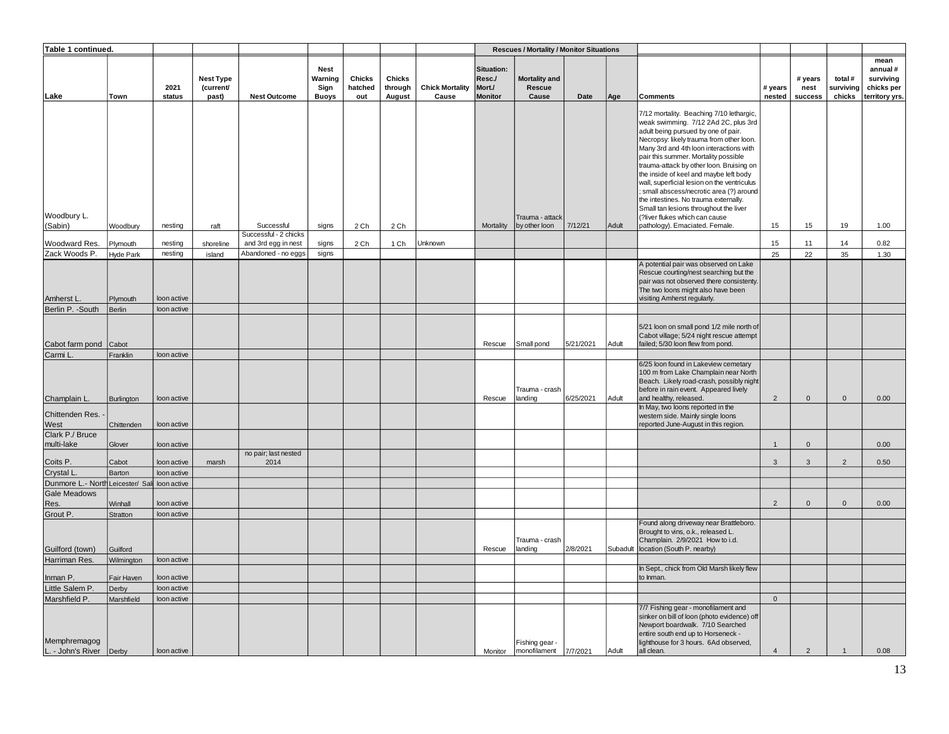| Table 1 continued.                            |                        |                            |                                        |                                     |                                                |                          |                                    |                                 |                                                  | <b>Rescues / Mortality / Monitor Situations</b> |           |          |                                                                                                                                                                                                                                                                                                                                                                                                                                                                                                                                                            |                   |                            |                                |                                                              |
|-----------------------------------------------|------------------------|----------------------------|----------------------------------------|-------------------------------------|------------------------------------------------|--------------------------|------------------------------------|---------------------------------|--------------------------------------------------|-------------------------------------------------|-----------|----------|------------------------------------------------------------------------------------------------------------------------------------------------------------------------------------------------------------------------------------------------------------------------------------------------------------------------------------------------------------------------------------------------------------------------------------------------------------------------------------------------------------------------------------------------------------|-------------------|----------------------------|--------------------------------|--------------------------------------------------------------|
| Lake                                          | Town                   | 2021<br>status             | <b>Nest Type</b><br>(current/<br>past) | <b>Nest Outcome</b>                 | <b>Nest</b><br>Warning<br>Sign<br><b>Buoys</b> | Chicks<br>hatched<br>out | <b>Chicks</b><br>through<br>August | <b>Chick Mortality</b><br>Cause | Situation:<br>Resc./<br>Mort./<br><b>Monitor</b> | Mortality and<br>Rescue<br>Cause                | Date      | Age      | Comments                                                                                                                                                                                                                                                                                                                                                                                                                                                                                                                                                   | # years<br>nested | # years<br>nest<br>success | total #<br>surviving<br>chicks | mean<br>annual#<br>surviving<br>chicks per<br>territory yrs. |
| Woodbury L.                                   |                        |                            |                                        |                                     |                                                |                          |                                    |                                 |                                                  | Trauma - attack                                 |           |          | 7/12 mortality. Beaching 7/10 lethargic,<br>weak swimming. 7/12 2Ad 2C, plus 3rd<br>adult being pursued by one of pair.<br>Necropsy: likely trauma from other loon.<br>Many 3rd and 4th loon interactions with<br>pair this summer. Mortality possible<br>trauma-attack by other loon. Bruising on<br>the inside of keel and maybe left body<br>wall, superficial lesion on the ventriculus<br>small abscess/necrotic area (?) around<br>the intestines. No trauma externally.<br>Small tan lesions throughout the liver<br>(?liver flukes which can cause |                   |                            |                                |                                                              |
| (Sabin)                                       | Woodbury               | nesting                    | raft                                   | Successful<br>Successful - 2 chicks | signs                                          | 2 Ch                     | 2 Ch                               |                                 | Mortality                                        | by other loon                                   | 7/12/21   | Adult    | pathology). Emaciated. Female.                                                                                                                                                                                                                                                                                                                                                                                                                                                                                                                             | 15                | 15                         | 19                             | 1.00                                                         |
| Woodward Res.                                 | Plymouth               | nesting                    | shoreline                              | and 3rd egg in nest                 | signs                                          | 2 Ch                     | 1 Ch                               | Unknown                         |                                                  |                                                 |           |          |                                                                                                                                                                                                                                                                                                                                                                                                                                                                                                                                                            | 15                | 11                         | 14                             | 0.82                                                         |
| Zack Woods P.                                 | Hyde Park              | nesting                    | island                                 | Abandoned - no eggs                 | signs                                          |                          |                                    |                                 |                                                  |                                                 |           |          |                                                                                                                                                                                                                                                                                                                                                                                                                                                                                                                                                            | 25                | 22                         | 35                             | 1.30                                                         |
| Amherst L                                     | Plymouth               | loon active                |                                        |                                     |                                                |                          |                                    |                                 |                                                  |                                                 |           |          | A potential pair was observed on Lake<br>Rescue courting/nest searching but the<br>pair was not observed there consistenty.<br>The two loons might also have been<br>visiting Amherst regularly.                                                                                                                                                                                                                                                                                                                                                           |                   |                            |                                |                                                              |
| Berlin P. - South                             | Berlin                 | loon active                |                                        |                                     |                                                |                          |                                    |                                 |                                                  |                                                 |           |          |                                                                                                                                                                                                                                                                                                                                                                                                                                                                                                                                                            |                   |                            |                                |                                                              |
| Cabot farm pond                               | Cabot                  |                            |                                        |                                     |                                                |                          |                                    |                                 | Rescue                                           | Small pond                                      | 5/21/2021 | Adult    | 5/21 loon on small pond 1/2 mile north of<br>Cabot village; 5/24 night rescue attempt<br>failed; 5/30 loon flew from pond.                                                                                                                                                                                                                                                                                                                                                                                                                                 |                   |                            |                                |                                                              |
| Carmi L.<br>Champlain L.                      | Franklin<br>Burlington | loon active<br>loon active |                                        |                                     |                                                |                          |                                    |                                 | Rescue                                           | Trauma - crash<br>landing                       | 6/25/2021 | Adult    | 6/25 loon found in Lakeview cemetary<br>100 m from Lake Champlain near North<br>Beach. Likely road-crash, possibly night<br>before in rain event. Appeared lively<br>and healthy, released.                                                                                                                                                                                                                                                                                                                                                                | $\overline{2}$    | $\mathsf{O}\xspace$        | $\mathsf{O}\xspace$            | 0.00                                                         |
| Chittenden Res.<br>West                       | Chittenden             | loon active                |                                        |                                     |                                                |                          |                                    |                                 |                                                  |                                                 |           |          | In May, two loons reported in the<br>western side. Mainly single loons<br>reported June-August in this region.                                                                                                                                                                                                                                                                                                                                                                                                                                             |                   |                            |                                |                                                              |
| Clark P./ Bruce                               |                        |                            |                                        |                                     |                                                |                          |                                    |                                 |                                                  |                                                 |           |          |                                                                                                                                                                                                                                                                                                                                                                                                                                                                                                                                                            |                   |                            |                                |                                                              |
| multi-lake                                    | Glover                 | loon active                |                                        |                                     |                                                |                          |                                    |                                 |                                                  |                                                 |           |          |                                                                                                                                                                                                                                                                                                                                                                                                                                                                                                                                                            | $\overline{1}$    | $\mathbf 0$                |                                | 0.00                                                         |
| Coits P.                                      | Cabot                  | loon active                | marsh                                  | no pair; last nested<br>2014        |                                                |                          |                                    |                                 |                                                  |                                                 |           |          |                                                                                                                                                                                                                                                                                                                                                                                                                                                                                                                                                            | 3                 | $\mathbf{3}$               | $\overline{2}$                 | 0.50                                                         |
| Crystal L                                     | Barton                 | loon active                |                                        |                                     |                                                |                          |                                    |                                 |                                                  |                                                 |           |          |                                                                                                                                                                                                                                                                                                                                                                                                                                                                                                                                                            |                   |                            |                                |                                                              |
| Dunmore L.- North Leicester/ Sall loon active |                        |                            |                                        |                                     |                                                |                          |                                    |                                 |                                                  |                                                 |           |          |                                                                                                                                                                                                                                                                                                                                                                                                                                                                                                                                                            |                   |                            |                                |                                                              |
| Gale Meadows                                  |                        |                            |                                        |                                     |                                                |                          |                                    |                                 |                                                  |                                                 |           |          |                                                                                                                                                                                                                                                                                                                                                                                                                                                                                                                                                            |                   |                            |                                |                                                              |
| Res.                                          | Winhall                | loon active                |                                        |                                     |                                                |                          |                                    |                                 |                                                  |                                                 |           |          |                                                                                                                                                                                                                                                                                                                                                                                                                                                                                                                                                            | $\overline{2}$    | $\mathbf 0$                | $\mathbf{0}$                   | 0.00                                                         |
| Grout P.<br>Guilford (town)                   | Stratton<br>Guilford   | loon active                |                                        |                                     |                                                |                          |                                    |                                 | Rescue                                           | Trauma - crash<br>landing                       | 2/8/2021  | Subadult | Found along driveway near Brattleboro.<br>Brought to vins, o.k., released L.<br>Champlain. 2/9/2021 How to i.d.<br>location (South P. nearby)                                                                                                                                                                                                                                                                                                                                                                                                              |                   |                            |                                |                                                              |
| Harriman Res.                                 | Wilmington             | loon active                |                                        |                                     |                                                |                          |                                    |                                 |                                                  |                                                 |           |          |                                                                                                                                                                                                                                                                                                                                                                                                                                                                                                                                                            |                   |                            |                                |                                                              |
| Inman P.                                      | Fair Haven             | loon active                |                                        |                                     |                                                |                          |                                    |                                 |                                                  |                                                 |           |          | In Sept., chick from Old Marsh likely flew<br>to Inman.                                                                                                                                                                                                                                                                                                                                                                                                                                                                                                    |                   |                            |                                |                                                              |
| Little Salem P.                               | Derby                  | loon active                |                                        |                                     |                                                |                          |                                    |                                 |                                                  |                                                 |           |          |                                                                                                                                                                                                                                                                                                                                                                                                                                                                                                                                                            |                   |                            |                                |                                                              |
| Marshfield P.                                 | Marshfield             | loon active                |                                        |                                     |                                                |                          |                                    |                                 |                                                  |                                                 |           |          |                                                                                                                                                                                                                                                                                                                                                                                                                                                                                                                                                            | $\mathbf 0$       |                            |                                |                                                              |
| Memphremagog<br>L. - John's River             | Derby                  | loon active                |                                        |                                     |                                                |                          |                                    |                                 | Monitor                                          | Fishing gear -<br>monofilament                  | 7/7/2021  | Adult    | 7/7 Fishing gear - monofilament and<br>sinker on bill of loon (photo evidence) off<br>Newport boardwalk. 7/10 Searched<br>entire south end up to Horseneck -<br>lighthouse for 3 hours. 6Ad observed,<br>all clean.                                                                                                                                                                                                                                                                                                                                        | $\overline{4}$    | $\overline{2}$             | $\overline{1}$                 | 0.08                                                         |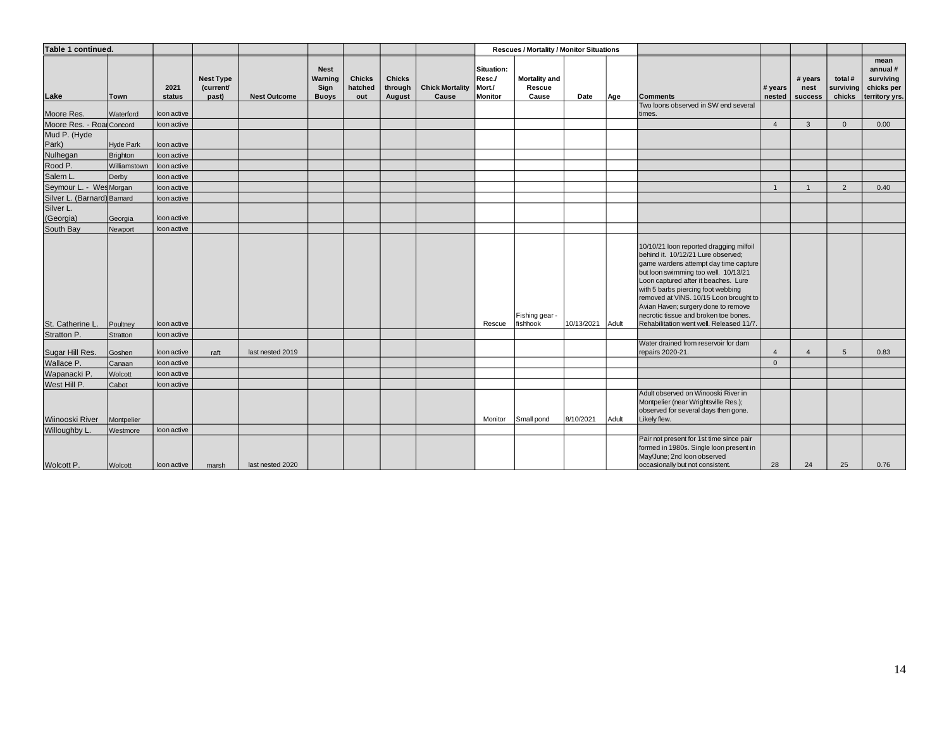| Table 1 continued.          |                |                |                                        |                     |                                                |                                 |                                    |                                 |                                                  | <b>Rescues / Mortality / Monitor Situations</b> |            |       |                                                                                                                                                                                                                                                                                                                                                                                                                    |                   |                            |                                |                                                              |
|-----------------------------|----------------|----------------|----------------------------------------|---------------------|------------------------------------------------|---------------------------------|------------------------------------|---------------------------------|--------------------------------------------------|-------------------------------------------------|------------|-------|--------------------------------------------------------------------------------------------------------------------------------------------------------------------------------------------------------------------------------------------------------------------------------------------------------------------------------------------------------------------------------------------------------------------|-------------------|----------------------------|--------------------------------|--------------------------------------------------------------|
| Lake                        | Town           | 2021<br>status | <b>Nest Type</b><br>(current/<br>past) | <b>Nest Outcome</b> | <b>Nest</b><br>Warning<br>Sign<br><b>Buoys</b> | <b>Chicks</b><br>hatched<br>out | <b>Chicks</b><br>through<br>August | <b>Chick Mortality</b><br>Cause | Situation:<br>Resc./<br>Mort./<br><b>Monitor</b> | <b>Mortality and</b><br>Rescue<br>Cause         | Date       | Age   | <b>Comments</b>                                                                                                                                                                                                                                                                                                                                                                                                    | # years<br>nested | # years<br>nest<br>success | total #<br>surviving<br>chicks | mean<br>annual#<br>surviving<br>chicks per<br>territory yrs. |
| Moore Res.                  | Waterford      | loon active    |                                        |                     |                                                |                                 |                                    |                                 |                                                  |                                                 |            |       | Two loons observed in SW end several<br>times.                                                                                                                                                                                                                                                                                                                                                                     |                   |                            |                                |                                                              |
| Moore Res. - RoalConcord    |                | loon active    |                                        |                     |                                                |                                 |                                    |                                 |                                                  |                                                 |            |       |                                                                                                                                                                                                                                                                                                                                                                                                                    | $\overline{4}$    | 3                          | $\Omega$                       | 0.00                                                         |
| Mud P. (Hyde                |                |                |                                        |                     |                                                |                                 |                                    |                                 |                                                  |                                                 |            |       |                                                                                                                                                                                                                                                                                                                                                                                                                    |                   |                            |                                |                                                              |
| Park)                       | Hyde Park      | loon active    |                                        |                     |                                                |                                 |                                    |                                 |                                                  |                                                 |            |       |                                                                                                                                                                                                                                                                                                                                                                                                                    |                   |                            |                                |                                                              |
| Nulhegan                    | Brighton       | loon active    |                                        |                     |                                                |                                 |                                    |                                 |                                                  |                                                 |            |       |                                                                                                                                                                                                                                                                                                                                                                                                                    |                   |                            |                                |                                                              |
| Rood P.                     | Williamstown   | loon active    |                                        |                     |                                                |                                 |                                    |                                 |                                                  |                                                 |            |       |                                                                                                                                                                                                                                                                                                                                                                                                                    |                   |                            |                                |                                                              |
| Salem L.                    | Derby          | loon active    |                                        |                     |                                                |                                 |                                    |                                 |                                                  |                                                 |            |       |                                                                                                                                                                                                                                                                                                                                                                                                                    |                   |                            |                                |                                                              |
| Seymour L. - Wes Morgan     |                | loon active    |                                        |                     |                                                |                                 |                                    |                                 |                                                  |                                                 |            |       |                                                                                                                                                                                                                                                                                                                                                                                                                    | $\overline{1}$    | $\overline{1}$             | $\overline{2}$                 | 0.40                                                         |
| Silver L. (Barnard) Barnard |                | loon active    |                                        |                     |                                                |                                 |                                    |                                 |                                                  |                                                 |            |       |                                                                                                                                                                                                                                                                                                                                                                                                                    |                   |                            |                                |                                                              |
| Silver L.<br>(Georgia)      | Georgia        | loon active    |                                        |                     |                                                |                                 |                                    |                                 |                                                  |                                                 |            |       |                                                                                                                                                                                                                                                                                                                                                                                                                    |                   |                            |                                |                                                              |
| South Bay                   | Newport        | loon active    |                                        |                     |                                                |                                 |                                    |                                 |                                                  |                                                 |            |       |                                                                                                                                                                                                                                                                                                                                                                                                                    |                   |                            |                                |                                                              |
| St. Catherine L.            | Poultney       | loon active    |                                        |                     |                                                |                                 |                                    |                                 | Rescue                                           | Fishing gear -<br>fishhook                      | 10/13/2021 | Adult | 10/10/21 loon reported dragging milfoil<br>behind it. 10/12/21 Lure observed;<br>game wardens attempt day time capture<br>but loon swimming too well. 10/13/21<br>Loon captured after it beaches. Lure<br>with 5 barbs piercing foot webbing<br>removed at VINS. 10/15 Loon brought to<br>Avian Haven; surgery done to remove<br>necrotic tissue and broken toe bones.<br>Rehabilitation went well. Released 11/7. |                   |                            |                                |                                                              |
| Stratton P.                 | Stratton       | loon active    |                                        |                     |                                                |                                 |                                    |                                 |                                                  |                                                 |            |       | Water drained from reservoir for dam                                                                                                                                                                                                                                                                                                                                                                               |                   |                            |                                |                                                              |
| Sugar Hill Res.             | Goshen         | loon active    | raft                                   | last nested 2019    |                                                |                                 |                                    |                                 |                                                  |                                                 |            |       | repairs 2020-21.                                                                                                                                                                                                                                                                                                                                                                                                   | $\overline{4}$    | $\overline{4}$             | $5\overline{5}$                | 0.83                                                         |
| Wallace P.                  | Canaan         | loon active    |                                        |                     |                                                |                                 |                                    |                                 |                                                  |                                                 |            |       |                                                                                                                                                                                                                                                                                                                                                                                                                    | $\mathbf{0}$      |                            |                                |                                                              |
| Wapanacki P.                | Wolcott        | loon active    |                                        |                     |                                                |                                 |                                    |                                 |                                                  |                                                 |            |       |                                                                                                                                                                                                                                                                                                                                                                                                                    |                   |                            |                                |                                                              |
| West Hill P.                | Cabot          | loon active    |                                        |                     |                                                |                                 |                                    |                                 |                                                  |                                                 |            |       |                                                                                                                                                                                                                                                                                                                                                                                                                    |                   |                            |                                |                                                              |
| Wiinooski River             | Montpelier     |                |                                        |                     |                                                |                                 |                                    |                                 | Monitor                                          | Small pond                                      | 8/10/2021  | Adult | Adult observed on Winooski River in<br>Montpelier (near Wrightsville Res.);<br>observed for several days then gone.<br>Likely flew.                                                                                                                                                                                                                                                                                |                   |                            |                                |                                                              |
| Willoughby L.               | Westmore       | loon active    |                                        |                     |                                                |                                 |                                    |                                 |                                                  |                                                 |            |       |                                                                                                                                                                                                                                                                                                                                                                                                                    |                   |                            |                                |                                                              |
| Wolcott P.                  | <b>Wolcott</b> | loon active    | marsh                                  | last nested 2020    |                                                |                                 |                                    |                                 |                                                  |                                                 |            |       | Pair not present for 1st time since pair<br>formed in 1980s. Single loon present in<br>May/June; 2nd loon observed<br>occasionally but not consistent.                                                                                                                                                                                                                                                             | 28                | 24                         | 25                             | 0.76                                                         |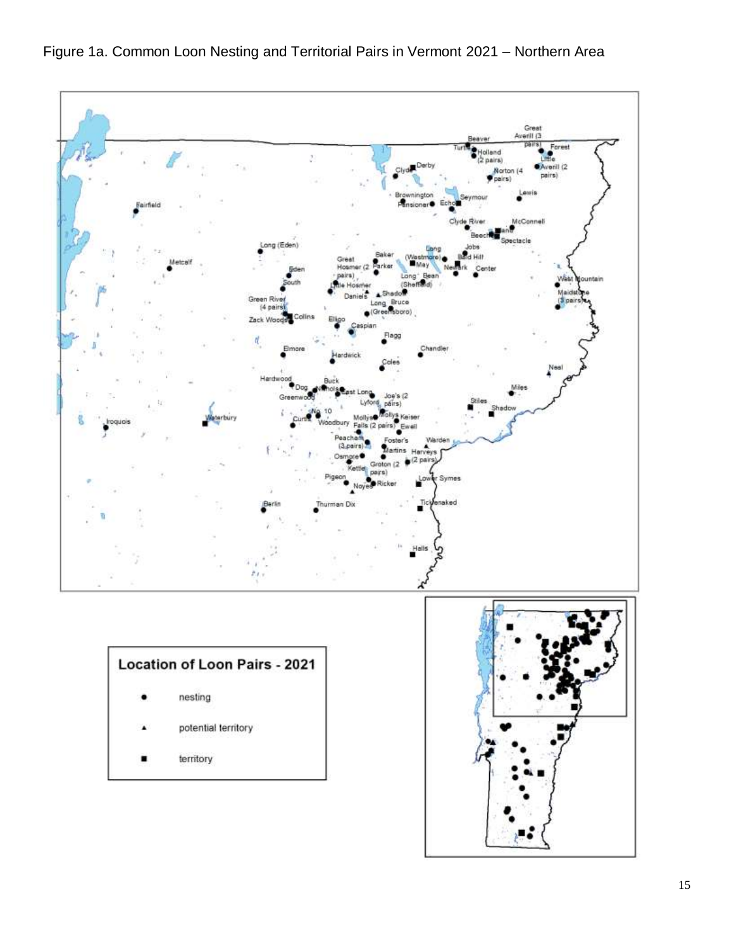Figure 1a. Common Loon Nesting and Territorial Pairs in Vermont 2021 – Northern Area

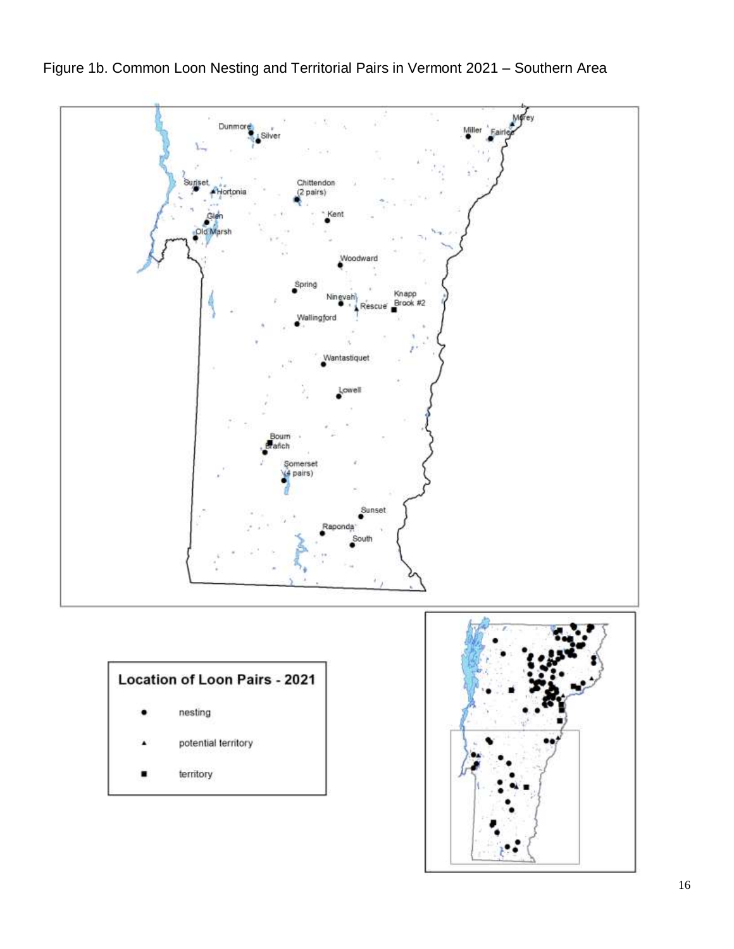

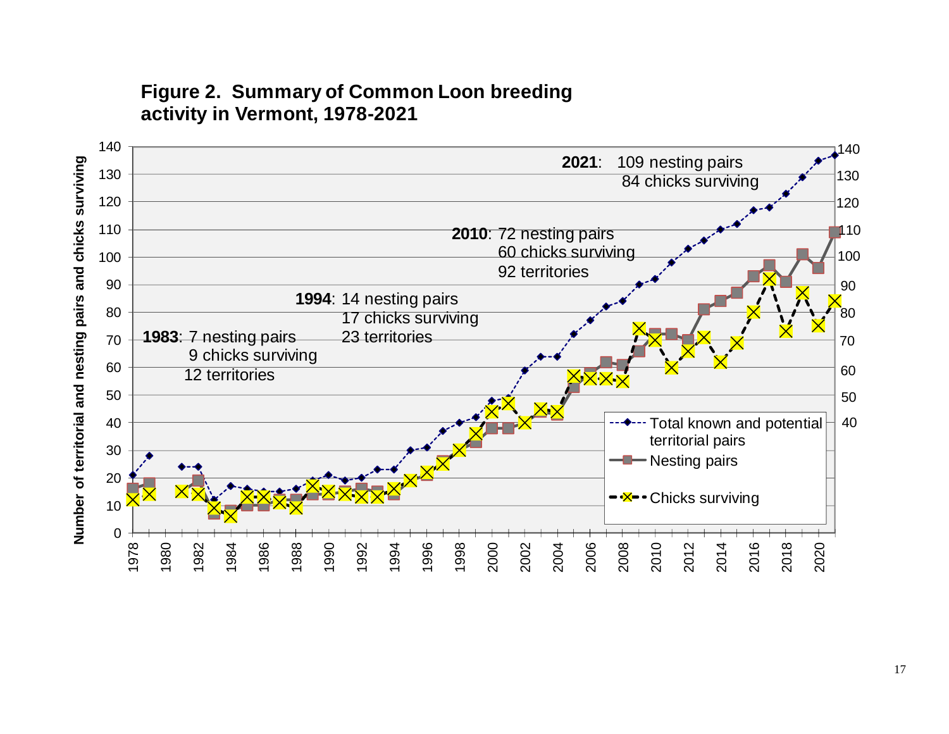# **Figure 2. Summary of Common Loon breeding activity in Vermont, 1978-2021**

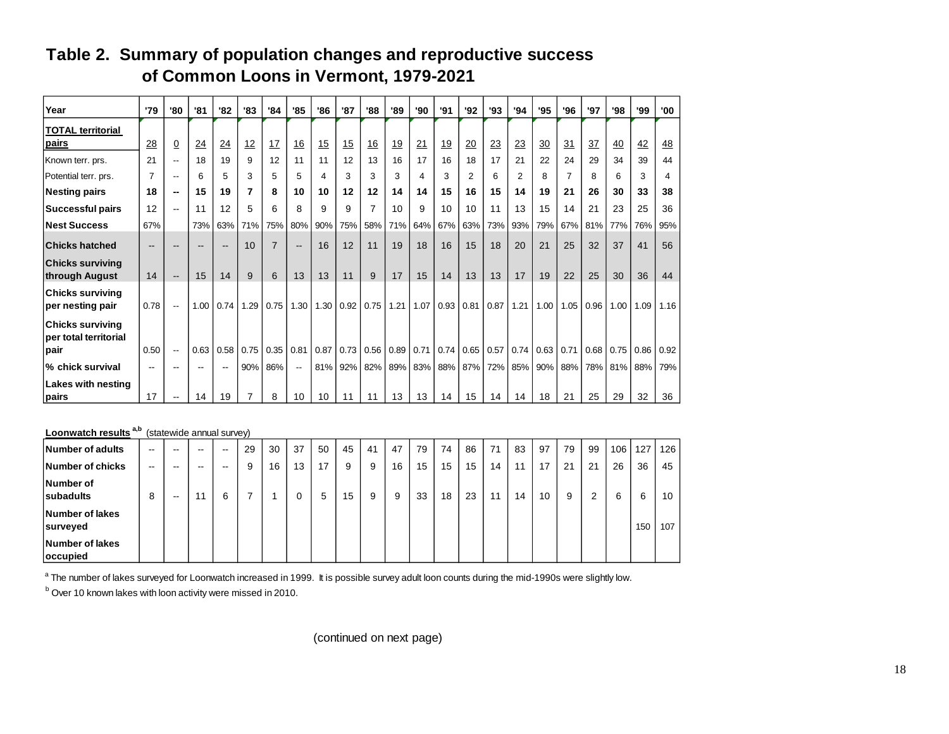| Year                                                     | '79               | '80                      | '81  | '82                      | '83  | '84            | '85                      | '86  | '87  | '88            | '89       | '90  | '91       | '92            | '93  | '94  | '95  | '96  | '97  | '98  | '99  | '00       |
|----------------------------------------------------------|-------------------|--------------------------|------|--------------------------|------|----------------|--------------------------|------|------|----------------|-----------|------|-----------|----------------|------|------|------|------|------|------|------|-----------|
| <b>TOTAL territorial</b><br>pairs                        | 28                | $\overline{0}$           | 24   | 24                       | 12   | 17             | 16                       | 15   | 15   | 16             | <u>19</u> | 21   | <u>19</u> | 20             | 23   | 23   | 30   | 31   | 37   | 40   | 42   | <u>48</u> |
| Known terr. prs.                                         | 21                | $- -$                    | 18   | 19                       | 9    | 12             | 11                       | 11   | 12   | 13             | 16        | 17   | 16        | 18             | 17   | 21   | 22   | 24   | 29   | 34   | 39   | 44        |
| Potential terr. prs.                                     | $\overline{7}$    | $-$                      | 6    | 5                        | 3    | 5              | 5                        | 4    | 3    | 3              | 3         | 4    | 3         | $\overline{2}$ | 6    | 2    | 8    | 7    | 8    | 6    | 3    | 4         |
| <b>Nesting pairs</b>                                     | 18                | --                       | 15   | 19                       | 7    | 8              | 10                       | 10   | 12   | 12             | 14        | 14   | 15        | 16             | 15   | 14   | 19   | 21   | 26   | 30   | 33   | 38        |
| <b>Successful pairs</b>                                  | 12                | $\overline{\phantom{a}}$ | 11   | 12                       | 5    | 6              | 8                        | 9    | 9    | $\overline{7}$ | 10        | 9    | 10        | 10             | 11   | 13   | 15   | 14   | 21   | 23   | 25   | 36        |
| <b>Nest Success</b>                                      | 67%               |                          | 73%  | 63%                      | 71%  | 75%            | 80%                      | 90%  | 75%  | 58%            | 71%       | 64%  | 67%       | 63%            | 73%  | 93%  | 79%  | 67%  | 81%  | 77%  | 76%  | 95%       |
| <b>Chicks hatched</b>                                    | $\qquad \qquad -$ |                          |      | $\overline{\phantom{a}}$ | 10   | $\overline{7}$ | $\overline{\phantom{a}}$ | 16   | 12   | 11             | 19        | 18   | 16        | 15             | 18   | 20   | 21   | 25   | 32   | 37   | 41   | 56        |
| <b>Chicks surviving</b><br>through August                | 14                | $-$                      | 15   | 14                       | 9    | 6              | 13                       | 13   | 11   | 9              | 17        | 15   | 14        | 13             | 13   | 17   | 19   | 22   | 25   | 30   | 36   | 44        |
| <b>Chicks surviving</b><br>per nesting pair              | 0.78              | $\overline{\phantom{a}}$ | 1.00 | 0.74                     | 1.29 | 0.75           | 1.30                     | 1.30 | 0.92 | 0.75           | 1.21      | 1.07 | 0.93      | 0.81           | 0.87 | 1.21 | 1.00 | 1.05 | 0.96 | 1.00 | 1.09 | 1.16      |
| <b>Chicks surviving</b><br>per total territorial<br>pair | 0.50              | $\overline{\phantom{a}}$ | 0.63 | 0.58                     | 0.75 | 0.35           | 0.81                     | 0.87 | 0.73 | 0.56           | 0.89      | 0.71 | 0.74      | $0.65$ 0.57    |      | 0.74 | 0.63 | 0.71 | 0.68 | 0.75 | 0.86 | 0.92      |
| % chick survival                                         | $- -$             | --                       |      | $\overline{\phantom{m}}$ | 90%  | 86%            | $\overline{\phantom{a}}$ | 81%  | 92%  | 82%            | 89%       | 83%  | 88%       | 87%            | 72%  | 85%  | 90%  | 88%  | 78%  | 81%  | 88%  | 79%       |
| Lakes with nesting<br>pairs                              | 17                |                          | 14   | 19                       | 7    | 8              | 10                       | 10   | 11   | 11             | 13        | 13   | 14        | 15             | 14   | 14   | 18   | 21   | 25   | 29   | 32   | 36        |

## **Table 2. Summary of population changes and reproductive success of Common Loons in Vermont, 1979-2021**

## **Loonwatch results**<sup>a,b</sup> (statewide annual survey) **Number of adults**  $\begin{vmatrix} -\end{vmatrix} - \begin{vmatrix} -\end{vmatrix} - \begin{vmatrix} -\end{vmatrix} -29 \end{vmatrix}$  30 | 37 | 50 | 45 | 41 | 47 | 79 | 74 | 86 | 71 | 83 | 97 | 79 | 99 | 106 | 127 | 126 **Number of chicks**  $\begin{vmatrix} -\end{vmatrix} - \begin{vmatrix} -\end{vmatrix} - \begin{vmatrix} -\end{vmatrix} - \begin{vmatrix} -\end{vmatrix} - \begin{vmatrix} -\end{vmatrix} - \begin{vmatrix} -\end{vmatrix} - \begin{vmatrix} 9 \end{vmatrix} - 16 \begin{vmatrix} 13 \end{vmatrix} - \begin{vmatrix} 9 \end{vmatrix} - \begin{vmatrix} 9 \end{vmatrix} - \begin{vmatrix} 16 \end{vmatrix} - \begin{vmatrix} 15 \end{vmatrix} - \begin{vmatrix} 15 \end{vmatrix} - \begin{vmatrix}$ **Number of subadults** 8 -- 11 6 7 1 0 5 15 9 9 33 18 23 11 14 10 9 2 6 6 10 **Number of lakes surveyed** 150 107 **Number of lakes occupied**

 $^{\rm a}$  The number of lakes surveyed for Loonwatch increased in 1999. It is possible survey adult loon counts during the mid-1990s were slightly low.

<sup>b</sup> Over 10 known lakes with loon activity were missed in 2010.

(continued on next page)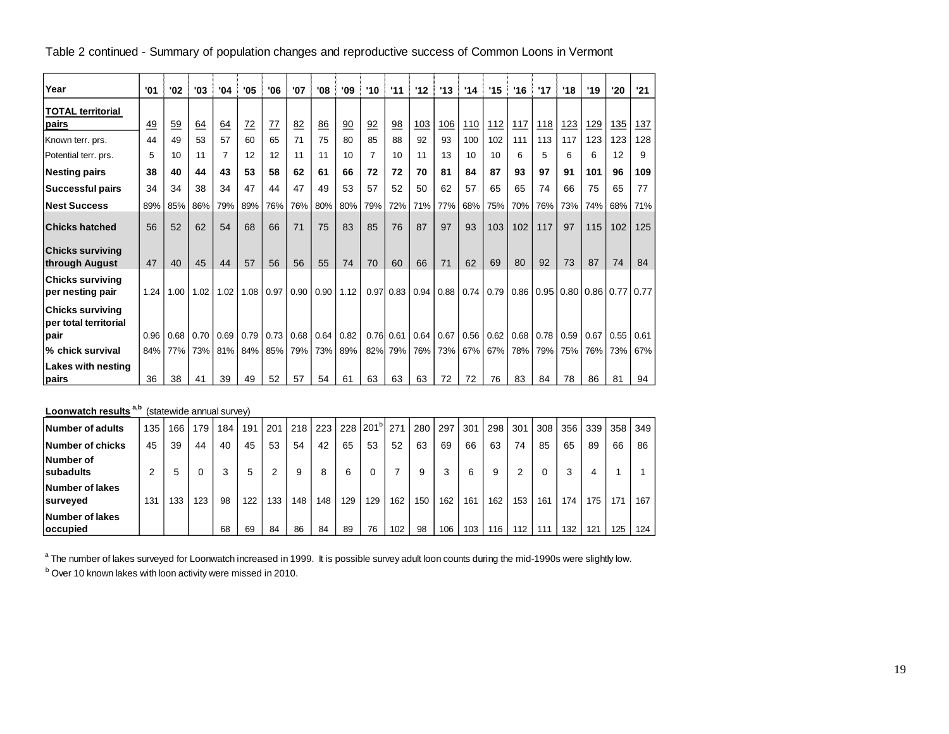Table 2 continued - Summary of population changes and reproductive success of Common Loons in Vermont

| Year                                             | '01  | '02  | '03  | '04            | '05  | '06  | '07  | '08  | '09  | '10            | '11         | 12         | 13         | '14  | '15  | '16  | '17  | '18  | '19              | '20        | '21  |
|--------------------------------------------------|------|------|------|----------------|------|------|------|------|------|----------------|-------------|------------|------------|------|------|------|------|------|------------------|------------|------|
| <b>TOTAL territorial</b>                         |      |      |      |                |      |      |      |      |      |                |             |            |            |      |      |      |      |      |                  |            |      |
| pairs                                            | 49   | 59   | 64   | 64             | 72   | 77   | 82   | 86   | 90   | 92             | 98          | <u>103</u> | <u>106</u> | 110  | 112  | 117  | 118  | 123  | 129              | <u>135</u> | 137  |
| Known terr. prs.                                 | 44   | 49   | 53   | 57             | 60   | 65   | 71   | 75   | 80   | 85             | 88          | 92         | 93         | 100  | 102  | 111  | 113  | 117  | 123              | 123        | 128  |
| Potential terr. prs.                             | 5    | 10   | 11   | $\overline{7}$ | 12   | 12   | 11   | 11   | 10   | $\overline{7}$ | 10          | 11         | 13         | 10   | 10   | 6    | 5    | 6    | 6                | 12         | 9    |
| <b>Nesting pairs</b>                             | 38   | 40   | 44   | 43             | 53   | 58   | 62   | 61   | 66   | 72             | 72          | 70         | 81         | 84   | 87   | 93   | 97   | 91   | 101              | 96         | 109  |
| <b>Successful pairs</b>                          | 34   | 34   | 38   | 34             | 47   | 44   | 47   | 49   | 53   | 57             | 52          | 50         | 62         | 57   | 65   | 65   | 74   | 66   | 75               | 65         | 77   |
| <b>Nest Success</b>                              | 89%  | 85%  | 86%  | 79%            | 89%  | 76%  | 76%  | 80%  | 80%  | 79%            | 72%         | 71%        | 77%        | 68%  | 75%  | 70%  | 76%  | 73%  | 74%              | 68%        | 71%  |
| <b>Chicks hatched</b>                            | 56   | 52   | 62   | 54             | 68   | 66   | 71   | 75   | 83   | 85             | 76          | 87         | 97         | 93   | 103  | 102  | 117  | 97   | 115              | 102        | 125  |
| <b>Chicks surviving</b><br>through August        | 47   | 40   | 45   | 44             | 57   | 56   | 56   | 55   | 74   | 70             | 60          | 66         | 71         | 62   | 69   | 80   | 92   | 73   | 87               | 74         | 84   |
| <b>Chicks surviving</b><br>per nesting pair      | 1.24 | 1.00 | 1.02 | 1.02           | 1.08 | 0.97 | 0.90 | 0.90 | 1.12 |                | $0.97$ 0.83 | 0.94       | 0.88       | 0.74 | 0.79 | 0.86 | 0.95 |      | $0.80$ 0.86 0.77 |            | 0.77 |
| <b>Chicks surviving</b><br>per total territorial |      |      |      |                |      |      |      |      |      |                |             |            |            |      |      |      |      |      |                  |            |      |
| pair                                             | 0.96 | 0.68 | 0.70 | 0.69           | 0.79 | 0.73 | 0.68 | 0.64 | 0.82 |                | $0.76$ 0.61 | 0.64       | 0.67       | 0.56 | 0.62 | 0.68 | 0.78 | 0.59 | 0.67             | 0.55       | 0.61 |
| % chick survival                                 | 84%  | 77%  | 73%  | 81%            | 84%  | 85%  | 79%  | 73%  | 89%  | 82%            | 79%         | 76%        | 73%        | 67%  | 67%  | 78%  | 79%  | 75%  | 76%              | 73%        | 67%  |
| Lakes with nesting<br>pairs                      | 36   | 38   | 41   | 39             | 49   | 52   | 57   | 54   | 61   | 63             | 63          | 63         | 72         | 72   | 76   | 83   | 84   | 78   | 86               | 81         | 94   |

**Loonwatch results a,b** (statewide annual survey)

| Number of adults                    | 135 | 166 | 79  | 184 | 191 | 201 | 218 | 223 | 228 | $201^\circ$ | 271 | 280 | 297 | 301 | 298 | 301 | 308 | 356 | 339 | 358 | 349 |
|-------------------------------------|-----|-----|-----|-----|-----|-----|-----|-----|-----|-------------|-----|-----|-----|-----|-----|-----|-----|-----|-----|-----|-----|
| Number of chicks                    | 45  | 39  | 44  | 40  | 45  | 53  | 54  | 42  | 65  | 53          | 52  | 63  | 69  | 66  | 63  | 74  | 85  | 65  | 89  | 66  | 86  |
| Number of<br>subadults              | ົ   | 5   |     | 3   | 5   | 2   |     | 8   | 6   | 0           |     | 9   | 3   | 6   | 9   | ົ   |     | 3   | 4   |     |     |
| Number of lakes<br>surveyed         | 131 | 133 | 123 | 98  | 122 | 133 | 148 | 148 | 129 | 129         | 162 | 150 | 162 | 161 | 162 | 153 | 161 | 174 | 175 | 171 | 167 |
| Number of lakes<br><b>loccupied</b> |     |     |     | 68  | 69  | 84  | 86  | 84  | 89  | 76          | 102 | 98  | 106 | 103 | 116 | 112 | 111 | 132 | 121 | 125 | 124 |

 $^{\text{a}}$  The number of lakes surveyed for Loonwatch increased in 1999. It is possible survey adult loon counts during the mid-1990s were slightly low.

<sup>b</sup> Over 10 known lakes with loon activity were missed in 2010.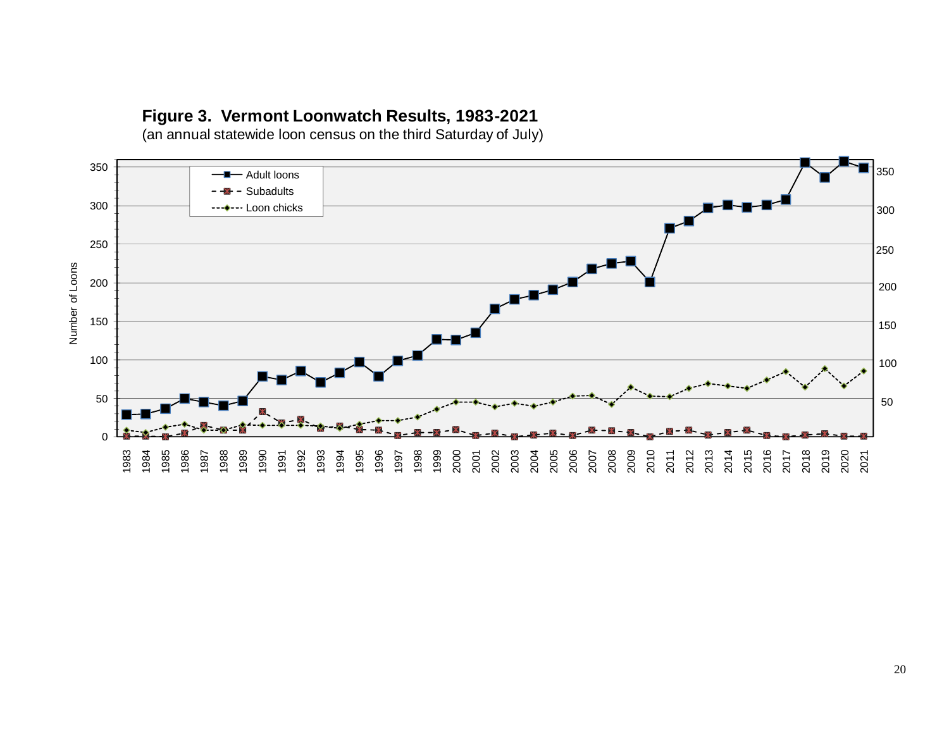## **Figure 3. Vermont Loonwatch Results, 1983-2021**

(an annual statewide loon census on the third Saturday of July)

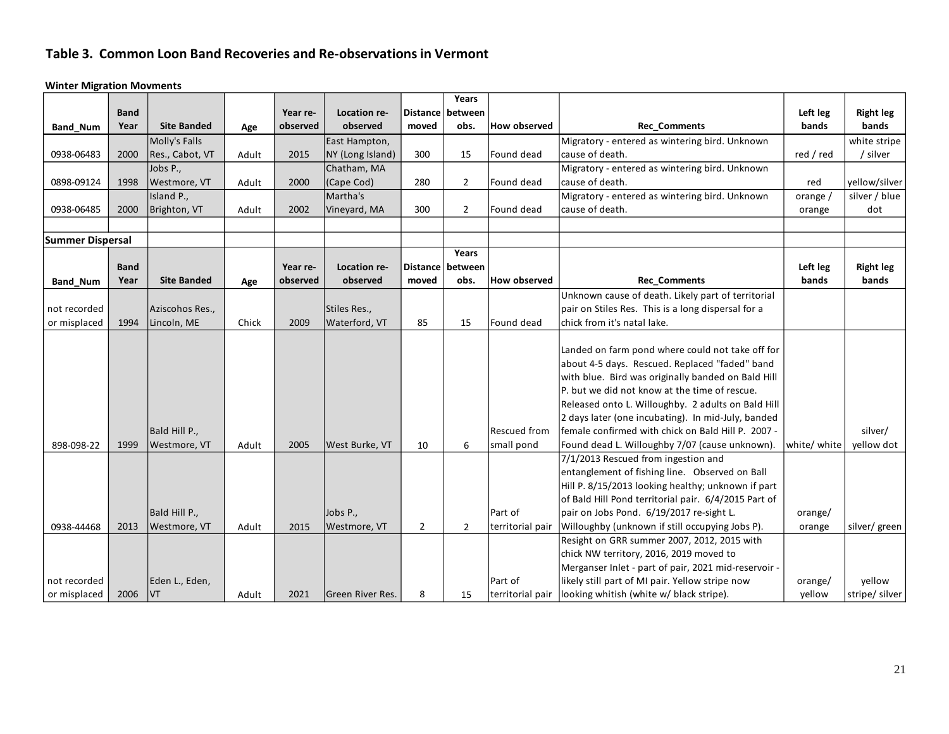## **Table 3. Common Loon Band Recoveries and Re-observations in Vermont**

**Winter Migration Movments**

|                         |             |                    |       |          |                  |                 | Years            |                     |                                                      |              |                  |
|-------------------------|-------------|--------------------|-------|----------|------------------|-----------------|------------------|---------------------|------------------------------------------------------|--------------|------------------|
|                         | <b>Band</b> |                    |       | Year re- | Location re-     | <b>Distance</b> | between          |                     |                                                      | Left leg     | <b>Right leg</b> |
| <b>Band Num</b>         | Year        | <b>Site Banded</b> | Age   | observed | observed         | moved           | obs.             | <b>How observed</b> | <b>Rec Comments</b>                                  | bands        | bands            |
|                         |             | Molly's Falls      |       |          | East Hampton,    |                 |                  |                     | Migratory - entered as wintering bird. Unknown       |              | white stripe     |
| 0938-06483              | 2000        | Res., Cabot, VT    | Adult | 2015     | NY (Long Island) | 300             | 15               | Found dead          | cause of death.                                      | red / red    | / silver         |
|                         |             | Jobs P.,           |       |          | Chatham, MA      |                 |                  |                     | Migratory - entered as wintering bird. Unknown       |              |                  |
| 0898-09124              | 1998        | Westmore, VT       | Adult | 2000     | (Cape Cod)       | 280             | $\overline{2}$   | Found dead          | cause of death.                                      | red          | yellow/silver    |
|                         |             | Island P.,         |       |          | Martha's         |                 |                  |                     | Migratory - entered as wintering bird. Unknown       | orange /     | silver / blue    |
| 0938-06485              | 2000        | Brighton, VT       | Adult | 2002     | Vineyard, MA     | 300             | $\overline{2}$   | Found dead          | cause of death.                                      | orange       | dot              |
|                         |             |                    |       |          |                  |                 |                  |                     |                                                      |              |                  |
| <b>Summer Dispersal</b> |             |                    |       |          |                  |                 |                  |                     |                                                      |              |                  |
|                         |             |                    |       |          |                  |                 | Years            |                     |                                                      |              |                  |
|                         | <b>Band</b> |                    |       | Year re- | Location re-     |                 | Distance between |                     |                                                      | Left leg     | <b>Right leg</b> |
| <b>Band_Num</b>         | Year        | <b>Site Banded</b> | Age   | observed | observed         | moved           | obs.             | <b>How observed</b> | <b>Rec_Comments</b>                                  | bands        | bands            |
|                         |             |                    |       |          |                  |                 |                  |                     | Unknown cause of death. Likely part of territorial   |              |                  |
| not recorded            |             | Aziscohos Res.,    |       |          | Stiles Res.,     |                 |                  |                     | pair on Stiles Res. This is a long dispersal for a   |              |                  |
| or misplaced            | 1994        | Lincoln, ME        | Chick | 2009     | Waterford, VT    | 85              | 15               | Found dead          | chick from it's natal lake.                          |              |                  |
|                         |             |                    |       |          |                  |                 |                  |                     |                                                      |              |                  |
|                         |             |                    |       |          |                  |                 |                  |                     | Landed on farm pond where could not take off for     |              |                  |
|                         |             |                    |       |          |                  |                 |                  |                     | about 4-5 days. Rescued. Replaced "faded" band       |              |                  |
|                         |             |                    |       |          |                  |                 |                  |                     | with blue. Bird was originally banded on Bald Hill   |              |                  |
|                         |             |                    |       |          |                  |                 |                  |                     | P. but we did not know at the time of rescue.        |              |                  |
|                         |             |                    |       |          |                  |                 |                  |                     | Released onto L. Willoughby. 2 adults on Bald Hill   |              |                  |
|                         |             |                    |       |          |                  |                 |                  |                     | 2 days later (one incubating). In mid-July, banded   |              |                  |
|                         |             | Bald Hill P.,      |       |          |                  |                 |                  | <b>Rescued from</b> | female confirmed with chick on Bald Hill P. 2007 -   |              | silver/          |
| 898-098-22              | 1999        | Westmore, VT       | Adult | 2005     | West Burke, VT   | 10              | 6                | small pond          | Found dead L. Willoughby 7/07 (cause unknown).       | white/ white | vellow dot       |
|                         |             |                    |       |          |                  |                 |                  |                     | 7/1/2013 Rescued from ingestion and                  |              |                  |
|                         |             |                    |       |          |                  |                 |                  |                     | entanglement of fishing line. Observed on Ball       |              |                  |
|                         |             |                    |       |          |                  |                 |                  |                     | Hill P. 8/15/2013 looking healthy; unknown if part   |              |                  |
|                         |             |                    |       |          |                  |                 |                  |                     | of Bald Hill Pond territorial pair. 6/4/2015 Part of |              |                  |
|                         |             | Bald Hill P.,      |       |          | Jobs P.,         |                 |                  | Part of             | pair on Jobs Pond. 6/19/2017 re-sight L.             | orange/      |                  |
| 0938-44468              | 2013        | Westmore, VT       | Adult | 2015     | Westmore, VT     | $\overline{2}$  | $\overline{2}$   | territorial pair    | Willoughby (unknown if still occupying Jobs P).      | orange       | silver/ green    |
|                         |             |                    |       |          |                  |                 |                  |                     | Resight on GRR summer 2007, 2012, 2015 with          |              |                  |
|                         |             |                    |       |          |                  |                 |                  |                     | chick NW territory, 2016, 2019 moved to              |              |                  |
|                         |             |                    |       |          |                  |                 |                  |                     | Merganser Inlet - part of pair, 2021 mid-reservoir - |              |                  |
| not recorded            |             | Eden L., Eden,     |       |          |                  |                 |                  | Part of             | likely still part of MI pair. Yellow stripe now      | orange/      | vellow           |
| or misplaced            | 2006        | VT                 | Adult | 2021     | Green River Res. | 8               | 15               | territorial pair    | looking whitish (white w/ black stripe).             | yellow       | stripe/ silver   |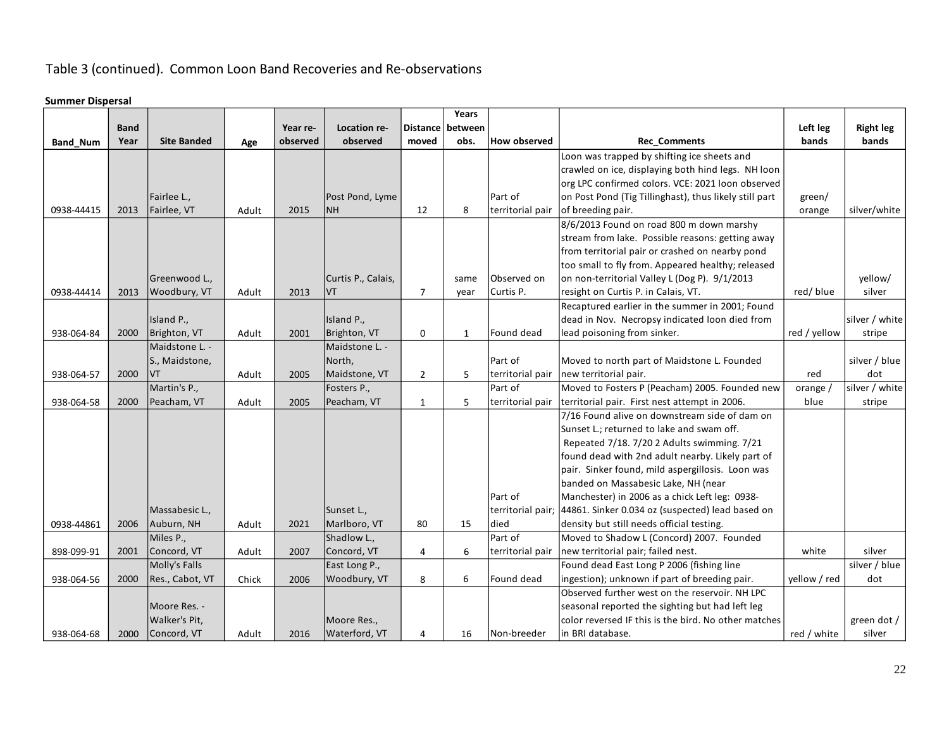## Table 3 (continued). Common Loon Band Recoveries and Re-observations

#### **Summer Dispersal**

|                 |             |                    |       |          |                    |                | Years            |                     |                                                                    |              |                  |
|-----------------|-------------|--------------------|-------|----------|--------------------|----------------|------------------|---------------------|--------------------------------------------------------------------|--------------|------------------|
|                 | <b>Band</b> |                    |       | Year re- | Location re-       |                | Distance between |                     |                                                                    | Left leg     | <b>Right leg</b> |
| <b>Band Num</b> | Year        | <b>Site Banded</b> | Age   | observed | observed           | moved          | obs.             | <b>How observed</b> | <b>Rec Comments</b>                                                | bands        | bands            |
|                 |             |                    |       |          |                    |                |                  |                     | Loon was trapped by shifting ice sheets and                        |              |                  |
|                 |             |                    |       |          |                    |                |                  |                     | crawled on ice, displaying both hind legs. NH loon                 |              |                  |
|                 |             |                    |       |          |                    |                |                  |                     | org LPC confirmed colors. VCE: 2021 loon observed                  |              |                  |
|                 |             | Fairlee L.,        |       |          | Post Pond, Lyme    |                |                  | Part of             | on Post Pond (Tig Tillinghast), thus likely still part             | green/       |                  |
| 0938-44415      | 2013        | Fairlee, VT        | Adult | 2015     | <b>NH</b>          | 12             | 8                | territorial pair    | of breeding pair.                                                  | orange       | silver/white     |
|                 |             |                    |       |          |                    |                |                  |                     | 8/6/2013 Found on road 800 m down marshy                           |              |                  |
|                 |             |                    |       |          |                    |                |                  |                     | stream from lake. Possible reasons: getting away                   |              |                  |
|                 |             |                    |       |          |                    |                |                  |                     | from territorial pair or crashed on nearby pond                    |              |                  |
|                 |             |                    |       |          |                    |                |                  |                     | too small to fly from. Appeared healthy; released                  |              |                  |
|                 |             | Greenwood L.,      |       |          | Curtis P., Calais, |                | same             | Observed on         | on non-territorial Valley L (Dog P). 9/1/2013                      |              | yellow/          |
| 0938-44414      | 2013        | Woodbury, VT       | Adult | 2013     | VT                 | $\overline{7}$ | year             | Curtis P.           | resight on Curtis P. in Calais, VT.                                | red/blue     | silver           |
|                 |             |                    |       |          |                    |                |                  |                     | Recaptured earlier in the summer in 2001; Found                    |              |                  |
|                 |             | Island P.,         |       |          | Island P.,         |                |                  |                     | dead in Nov. Necropsy indicated loon died from                     |              | silver / white   |
| 938-064-84      | 2000        | Brighton, VT       | Adult | 2001     | Brighton, VT       | 0              | $\mathbf{1}$     | Found dead          | lead poisoning from sinker.                                        | red / yellow | stripe           |
|                 |             | Maidstone L. -     |       |          | Maidstone L. -     |                |                  |                     |                                                                    |              |                  |
|                 |             | S., Maidstone,     |       |          | North,             |                |                  | Part of             | Moved to north part of Maidstone L. Founded                        |              | silver / blue    |
| 938-064-57      | 2000        | VT                 | Adult | 2005     | Maidstone, VT      | $\overline{2}$ | 5                | territorial pair    | new territorial pair.                                              | red          | dot              |
|                 |             | Martin's P.,       |       |          | Fosters P.,        |                |                  | Part of             | Moved to Fosters P (Peacham) 2005. Founded new                     | orange /     | silver / white   |
| 938-064-58      | 2000        | Peacham, VT        | Adult | 2005     | Peacham, VT        | $\mathbf{1}$   | 5                | territorial pair    | territorial pair. First nest attempt in 2006.                      | blue         | stripe           |
|                 |             |                    |       |          |                    |                |                  |                     | 7/16 Found alive on downstream side of dam on                      |              |                  |
|                 |             |                    |       |          |                    |                |                  |                     | Sunset L.; returned to lake and swam off.                          |              |                  |
|                 |             |                    |       |          |                    |                |                  |                     | Repeated 7/18. 7/20 2 Adults swimming. 7/21                        |              |                  |
|                 |             |                    |       |          |                    |                |                  |                     | found dead with 2nd adult nearby. Likely part of                   |              |                  |
|                 |             |                    |       |          |                    |                |                  |                     | pair. Sinker found, mild aspergillosis. Loon was                   |              |                  |
|                 |             |                    |       |          |                    |                |                  |                     | banded on Massabesic Lake, NH (near                                |              |                  |
|                 |             |                    |       |          |                    |                |                  | Part of             | Manchester) in 2006 as a chick Left leg: 0938-                     |              |                  |
|                 |             | Massabesic L.,     |       |          | Sunset L.,         |                |                  |                     | territorial pair; 44861. Sinker 0.034 oz (suspected) lead based on |              |                  |
| 0938-44861      | 2006        | Auburn, NH         | Adult | 2021     | Marlboro, VT       | 80             | 15               | died                | density but still needs official testing.                          |              |                  |
|                 |             | Miles P.,          |       |          | Shadlow L.,        |                |                  | Part of             | Moved to Shadow L (Concord) 2007. Founded                          |              |                  |
| 898-099-91      | 2001        | Concord, VT        | Adult | 2007     | Concord, VT        | 4              | 6                | territorial pair    | new territorial pair; failed nest.                                 | white        | silver           |
|                 |             | Molly's Falls      |       |          | East Long P.,      |                |                  |                     | Found dead East Long P 2006 (fishing line                          |              | silver / blue    |
| 938-064-56      | 2000        | Res., Cabot, VT    | Chick | 2006     | Woodbury, VT       | 8              | 6                | Found dead          | ingestion); unknown if part of breeding pair.                      | yellow / red | dot              |
|                 |             |                    |       |          |                    |                |                  |                     | Observed further west on the reservoir. NH LPC                     |              |                  |
|                 |             | Moore Res. -       |       |          |                    |                |                  |                     | seasonal reported the sighting but had left leg                    |              |                  |
|                 |             | Walker's Pit,      |       |          | Moore Res.,        |                |                  |                     | color reversed IF this is the bird. No other matches               |              | green dot /      |
| 938-064-68      | 2000        | Concord, VT        | Adult | 2016     | Waterford, VT      | 4              | 16               | Non-breeder         | in BRI database.                                                   | red / white  | silver           |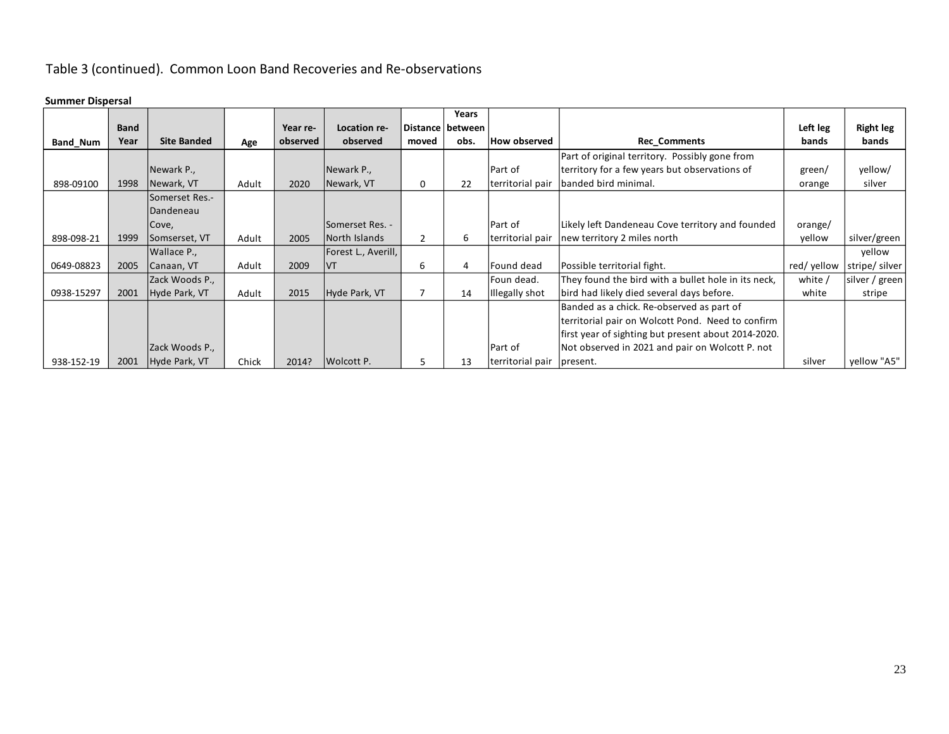# Table 3 (continued). Common Loon Band Recoveries and Re-observations

#### **Summer Dispersal**

|                 |             |                    |       |          |                     |              | Years              |                     |                                                     |            |                  |
|-----------------|-------------|--------------------|-------|----------|---------------------|--------------|--------------------|---------------------|-----------------------------------------------------|------------|------------------|
|                 | <b>Band</b> |                    |       | Year re- | Location re-        |              | Distance   between |                     |                                                     | Left leg   | <b>Right leg</b> |
| <b>Band Num</b> | Year        | <b>Site Banded</b> | Age   | observed | observed            | moved        | obs.               | <b>How observed</b> | <b>Rec Comments</b>                                 | bands      | bands            |
|                 |             |                    |       |          |                     |              |                    |                     | Part of original territory. Possibly gone from      |            |                  |
|                 |             | Newark P.,         |       |          | Newark P.,          |              |                    | Part of             | territory for a few years but observations of       | green/     | yellow/          |
| 898-09100       | 1998        | Newark, VT         | Adult | 2020     | Newark, VT          | 0            | 22                 | territorial pair    | banded bird minimal.                                | orange     | silver           |
|                 |             | Somerset Res.-     |       |          |                     |              |                    |                     |                                                     |            |                  |
|                 |             | Dandeneau          |       |          |                     |              |                    |                     |                                                     |            |                  |
|                 |             | Cove,              |       |          | Somerset Res. -     |              |                    | Part of             | Likely left Dandeneau Cove territory and founded    | orange/    |                  |
| 898-098-21      | 1999        | Somserset, VT      | Adult | 2005     | North Islands       | $\mathbf{2}$ | 6                  | territorial pair    | new territory 2 miles north                         | yellow     | silver/green     |
|                 |             | Wallace P.,        |       |          | Forest L., Averill, |              |                    |                     |                                                     |            | vellow           |
| 0649-08823      | 2005        | Canaan, VT         | Adult | 2009     | <b>IVT</b>          | 6            | 4                  | Found dead          | Possible territorial fight.                         | red/yellow | stripe/ silver   |
|                 |             | Zack Woods P.,     |       |          |                     |              |                    | Foun dead.          | They found the bird with a bullet hole in its neck. | white /    | silver / green   |
| 0938-15297      | 2001        | Hyde Park, VT      | Adult | 2015     | Hyde Park, VT       |              | 14                 | Illegally shot      | bird had likely died several days before.           | white      | stripe           |
|                 |             |                    |       |          |                     |              |                    |                     | Banded as a chick. Re-observed as part of           |            |                  |
|                 |             |                    |       |          |                     |              |                    |                     | territorial pair on Wolcott Pond. Need to confirm   |            |                  |
|                 |             |                    |       |          |                     |              |                    |                     | first year of sighting but present about 2014-2020. |            |                  |
|                 |             | Zack Woods P.,     |       |          |                     |              |                    | Part of             | Not observed in 2021 and pair on Wolcott P. not     |            |                  |
| 938-152-19      | 2001        | Hyde Park, VT      | Chick | 2014?    | Wolcott P.          | 5            | 13                 | territorial pair    | present.                                            | silver     | yellow "A5"      |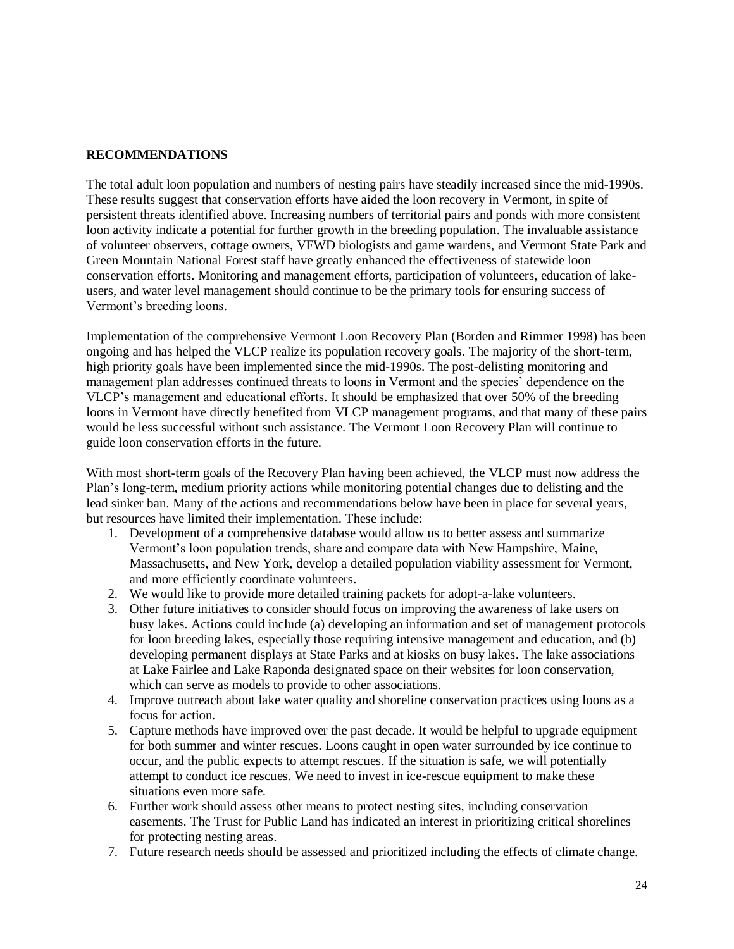## **RECOMMENDATIONS**

The total adult loon population and numbers of nesting pairs have steadily increased since the mid-1990s. These results suggest that conservation efforts have aided the loon recovery in Vermont, in spite of persistent threats identified above. Increasing numbers of territorial pairs and ponds with more consistent loon activity indicate a potential for further growth in the breeding population. The invaluable assistance of volunteer observers, cottage owners, VFWD biologists and game wardens, and Vermont State Park and Green Mountain National Forest staff have greatly enhanced the effectiveness of statewide loon conservation efforts. Monitoring and management efforts, participation of volunteers, education of lakeusers, and water level management should continue to be the primary tools for ensuring success of Vermont's breeding loons.

Implementation of the comprehensive Vermont Loon Recovery Plan (Borden and Rimmer 1998) has been ongoing and has helped the VLCP realize its population recovery goals. The majority of the short-term, high priority goals have been implemented since the mid-1990s. The post-delisting monitoring and management plan addresses continued threats to loons in Vermont and the species' dependence on the VLCP's management and educational efforts. It should be emphasized that over 50% of the breeding loons in Vermont have directly benefited from VLCP management programs, and that many of these pairs would be less successful without such assistance. The Vermont Loon Recovery Plan will continue to guide loon conservation efforts in the future.

With most short-term goals of the Recovery Plan having been achieved, the VLCP must now address the Plan's long-term, medium priority actions while monitoring potential changes due to delisting and the lead sinker ban. Many of the actions and recommendations below have been in place for several years, but resources have limited their implementation. These include:

- 1. Development of a comprehensive database would allow us to better assess and summarize Vermont's loon population trends, share and compare data with New Hampshire, Maine, Massachusetts, and New York, develop a detailed population viability assessment for Vermont, and more efficiently coordinate volunteers.
- 2. We would like to provide more detailed training packets for adopt-a-lake volunteers.
- 3. Other future initiatives to consider should focus on improving the awareness of lake users on busy lakes. Actions could include (a) developing an information and set of management protocols for loon breeding lakes, especially those requiring intensive management and education, and (b) developing permanent displays at State Parks and at kiosks on busy lakes. The lake associations at Lake Fairlee and Lake Raponda designated space on their websites for loon conservation, which can serve as models to provide to other associations.
- 4. Improve outreach about lake water quality and shoreline conservation practices using loons as a focus for action.
- 5. Capture methods have improved over the past decade. It would be helpful to upgrade equipment for both summer and winter rescues. Loons caught in open water surrounded by ice continue to occur, and the public expects to attempt rescues. If the situation is safe, we will potentially attempt to conduct ice rescues. We need to invest in ice-rescue equipment to make these situations even more safe.
- 6. Further work should assess other means to protect nesting sites, including conservation easements. The Trust for Public Land has indicated an interest in prioritizing critical shorelines for protecting nesting areas.
- 7. Future research needs should be assessed and prioritized including the effects of climate change.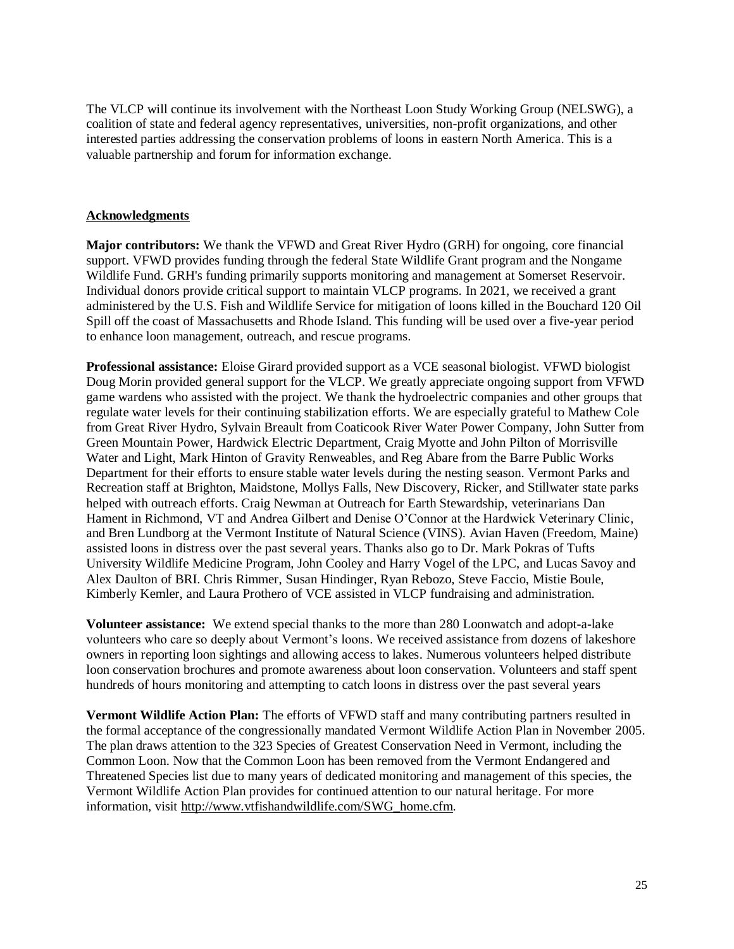The VLCP will continue its involvement with the Northeast Loon Study Working Group (NELSWG), a coalition of state and federal agency representatives, universities, non-profit organizations, and other interested parties addressing the conservation problems of loons in eastern North America. This is a valuable partnership and forum for information exchange.

#### **Acknowledgments**

**Major contributors:** We thank the VFWD and Great River Hydro (GRH) for ongoing, core financial support. VFWD provides funding through the federal State Wildlife Grant program and the Nongame Wildlife Fund. GRH's funding primarily supports monitoring and management at Somerset Reservoir. Individual donors provide critical support to maintain VLCP programs. In 2021, we received a grant administered by the U.S. Fish and Wildlife Service for mitigation of loons killed in the Bouchard 120 Oil Spill off the coast of Massachusetts and Rhode Island. This funding will be used over a five-year period to enhance loon management, outreach, and rescue programs.

**Professional assistance:** Eloise Girard provided support as a VCE seasonal biologist. VFWD biologist Doug Morin provided general support for the VLCP. We greatly appreciate ongoing support from VFWD game wardens who assisted with the project. We thank the hydroelectric companies and other groups that regulate water levels for their continuing stabilization efforts. We are especially grateful to Mathew Cole from Great River Hydro, Sylvain Breault from Coaticook River Water Power Company, John Sutter from Green Mountain Power, Hardwick Electric Department, Craig Myotte and John Pilton of Morrisville Water and Light, Mark Hinton of Gravity Renweables, and Reg Abare from the Barre Public Works Department for their efforts to ensure stable water levels during the nesting season. Vermont Parks and Recreation staff at Brighton, Maidstone, Mollys Falls, New Discovery, Ricker, and Stillwater state parks helped with outreach efforts. Craig Newman at Outreach for Earth Stewardship, veterinarians Dan Hament in Richmond, VT and Andrea Gilbert and Denise O'Connor at the Hardwick Veterinary Clinic, and Bren Lundborg at the Vermont Institute of Natural Science (VINS). Avian Haven (Freedom, Maine) assisted loons in distress over the past several years. Thanks also go to Dr. Mark Pokras of Tufts University Wildlife Medicine Program, John Cooley and Harry Vogel of the LPC, and Lucas Savoy and Alex Daulton of BRI. Chris Rimmer, Susan Hindinger, Ryan Rebozo, Steve Faccio, Mistie Boule, Kimberly Kemler, and Laura Prothero of VCE assisted in VLCP fundraising and administration.

**Volunteer assistance:** We extend special thanks to the more than 280 Loonwatch and adopt-a-lake volunteers who care so deeply about Vermont's loons. We received assistance from dozens of lakeshore owners in reporting loon sightings and allowing access to lakes. Numerous volunteers helped distribute loon conservation brochures and promote awareness about loon conservation. Volunteers and staff spent hundreds of hours monitoring and attempting to catch loons in distress over the past several years

**Vermont Wildlife Action Plan:** The efforts of VFWD staff and many contributing partners resulted in the formal acceptance of the congressionally mandated Vermont Wildlife Action Plan in November 2005. The plan draws attention to the 323 Species of Greatest Conservation Need in Vermont, including the Common Loon. Now that the Common Loon has been removed from the Vermont Endangered and Threatened Species list due to many years of dedicated monitoring and management of this species, the Vermont Wildlife Action Plan provides for continued attention to our natural heritage. For more information, visit [http://www.vtfishandwildlife.com/SWG\\_home.cfm.](http://www.vtfishandwildlife.com/SWG_home.cfm)